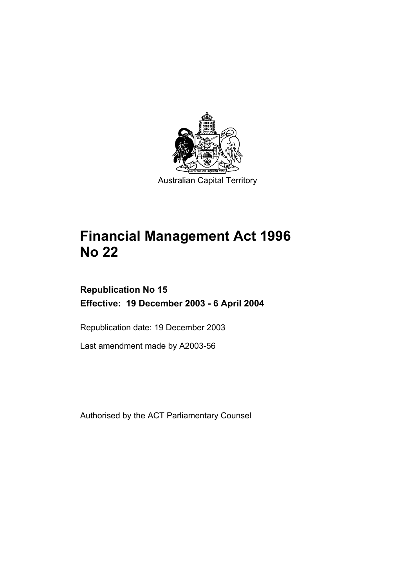

# **Financial Management Act 1996 No 22**

# **Republication No 15 Effective: 19 December 2003 - 6 April 2004**

Republication date: 19 December 2003

Last amendment made by A2003-56

Authorised by the ACT Parliamentary Counsel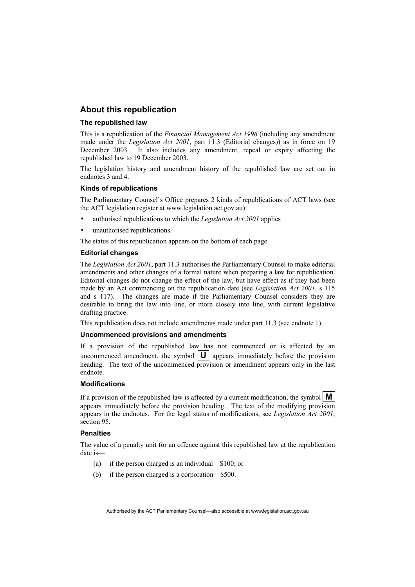#### **About this republication**

#### **The republished law**

This is a republication of the *Financial Management Act 1996* (including any amendment made under the *Legislation Act 2001*, part 11.3 (Editorial changes)) as in force on 19 December 2003*.* It also includes any amendment, repeal or expiry affecting the republished law to 19 December 2003.

The legislation history and amendment history of the republished law are set out in endnotes 3 and 4.

#### **Kinds of republications**

The Parliamentary Counsel's Office prepares 2 kinds of republications of ACT laws (see the ACT legislation register at www.legislation.act.gov.au):

- authorised republications to which the *Legislation Act 2001* applies
- unauthorised republications.

The status of this republication appears on the bottom of each page.

#### **Editorial changes**

The *Legislation Act 2001*, part 11.3 authorises the Parliamentary Counsel to make editorial amendments and other changes of a formal nature when preparing a law for republication. Editorial changes do not change the effect of the law, but have effect as if they had been made by an Act commencing on the republication date (see *Legislation Act 2001*, s 115 and s 117). The changes are made if the Parliamentary Counsel considers they are desirable to bring the law into line, or more closely into line, with current legislative drafting practice.

This republication does not include amendments made under part 11.3 (see endnote 1).

#### **Uncommenced provisions and amendments**

If a provision of the republished law has not commenced or is affected by an uncommenced amendment, the symbol  $|\mathbf{U}|$  appears immediately before the provision heading. The text of the uncommenced provision or amendment appears only in the last endnote.

#### **Modifications**

If a provision of the republished law is affected by a current modification, the symbol  $\mathbf{M}$ appears immediately before the provision heading. The text of the modifying provision appears in the endnotes. For the legal status of modifications, see *Legislation Act 2001*, section 95.

#### **Penalties**

The value of a penalty unit for an offence against this republished law at the republication date is—

- (a) if the person charged is an individual—\$100; or
- (b) if the person charged is a corporation—\$500.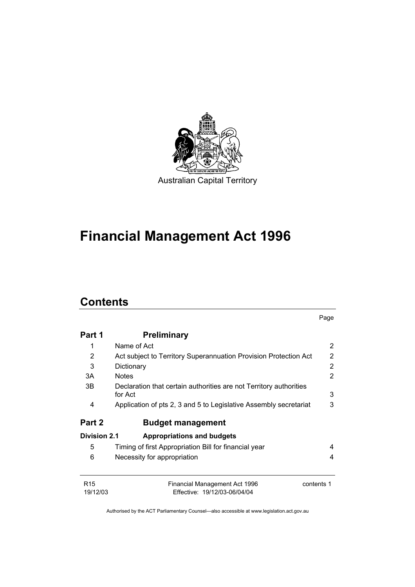

# **Financial Management Act 1996**

# **Contents**

| <br>× | ×<br>۰. |
|-------|---------|
|       |         |

| Part 1              | <b>Preliminary</b>                                                            |                |
|---------------------|-------------------------------------------------------------------------------|----------------|
| 1                   | Name of Act                                                                   | $\overline{2}$ |
| 2                   | Act subject to Territory Superannuation Provision Protection Act              | $\overline{2}$ |
| 3                   | Dictionary                                                                    | 2              |
| 3A                  | <b>Notes</b>                                                                  | 2              |
| 3B                  | Declaration that certain authorities are not Territory authorities<br>for Act | 3              |
| 4                   | Application of pts 2, 3 and 5 to Legislative Assembly secretariat             | 3              |
| Part 2              | <b>Budget management</b>                                                      |                |
| <b>Division 2.1</b> | <b>Appropriations and budgets</b>                                             |                |
| 5                   | Timing of first Appropriation Bill for financial year                         | 4              |
| 6                   | Necessity for appropriation                                                   | 4              |
| R <sub>15</sub>     | Financial Management Act 1996                                                 | contents 1     |
| 19/12/03            | Effective: 19/12/03-06/04/04                                                  |                |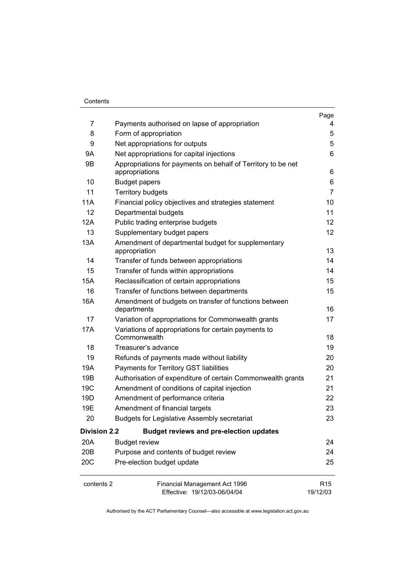#### Contents

|                     |                                                                                | Page                        |
|---------------------|--------------------------------------------------------------------------------|-----------------------------|
| 7                   | Payments authorised on lapse of appropriation                                  | 4                           |
| 8                   | Form of appropriation                                                          | 5                           |
| 9                   | Net appropriations for outputs                                                 | 5                           |
| 9Α                  | Net appropriations for capital injections                                      | 6                           |
| 9B                  | Appropriations for payments on behalf of Territory to be net<br>appropriations | 6                           |
| 10                  | <b>Budget papers</b>                                                           | 6                           |
| 11                  | <b>Territory budgets</b>                                                       | 7                           |
| 11A                 | Financial policy objectives and strategies statement                           | 10                          |
| 12                  | Departmental budgets                                                           | 11                          |
| 12A                 | Public trading enterprise budgets                                              | 12 <sup>2</sup>             |
| 13                  | Supplementary budget papers                                                    | 12                          |
| 13A                 | Amendment of departmental budget for supplementary<br>appropriation            | 13                          |
| 14                  | Transfer of funds between appropriations                                       | 14                          |
| 15                  | Transfer of funds within appropriations                                        | 14                          |
| 15A                 | Reclassification of certain appropriations                                     | 15                          |
| 16                  | Transfer of functions between departments                                      | 15                          |
| 16A                 | Amendment of budgets on transfer of functions between<br>departments           | 16                          |
| 17                  | Variation of appropriations for Commonwealth grants                            | 17                          |
| 17A                 | Variations of appropriations for certain payments to<br>Commonwealth           | 18                          |
| 18                  | Treasurer's advance                                                            | 19                          |
| 19                  | Refunds of payments made without liability                                     | 20                          |
| 19A                 | Payments for Territory GST liabilities                                         | 20                          |
| 19B                 | Authorisation of expenditure of certain Commonwealth grants                    | 21                          |
| 19C                 | Amendment of conditions of capital injection                                   | 21                          |
| 19D                 | Amendment of performance criteria                                              | 22                          |
| 19E                 | Amendment of financial targets                                                 | 23                          |
| 20                  | <b>Budgets for Legislative Assembly secretariat</b>                            | 23                          |
| <b>Division 2.2</b> | <b>Budget reviews and pre-election updates</b>                                 |                             |
| 20A                 | <b>Budget review</b>                                                           | 24                          |
| 20B                 | Purpose and contents of budget review                                          | 24                          |
| 20C                 | Pre-election budget update                                                     | 25                          |
| contents 2          | Financial Management Act 1996<br>Effective: 19/12/03-06/04/04                  | R <sub>15</sub><br>19/12/03 |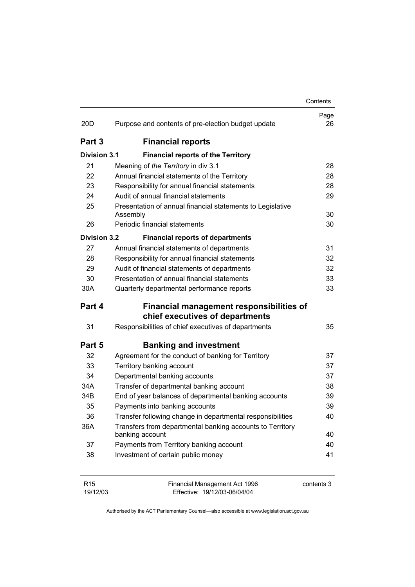|                             |                                                                                    | Contents   |
|-----------------------------|------------------------------------------------------------------------------------|------------|
| 20 <sub>D</sub>             | Purpose and contents of pre-election budget update                                 | Page<br>26 |
| Part 3                      | <b>Financial reports</b>                                                           |            |
| <b>Division 3.1</b>         | <b>Financial reports of the Territory</b>                                          |            |
| 21                          | Meaning of the Territory in div 3.1                                                | 28         |
| 22                          | Annual financial statements of the Territory                                       | 28         |
| 23                          | Responsibility for annual financial statements                                     | 28         |
| 24                          | Audit of annual financial statements                                               | 29         |
| 25                          | Presentation of annual financial statements to Legislative<br>Assembly             | 30         |
| 26                          | Periodic financial statements                                                      | 30         |
| <b>Division 3.2</b>         | <b>Financial reports of departments</b>                                            |            |
| 27                          | Annual financial statements of departments                                         | 31         |
| 28                          | Responsibility for annual financial statements                                     | 32         |
| 29                          | Audit of financial statements of departments                                       | 32         |
| 30                          | Presentation of annual financial statements                                        | 33         |
| 30A                         | Quarterly departmental performance reports                                         | 33         |
| Part 4                      | <b>Financial management responsibilities of</b><br>chief executives of departments |            |
| 31                          | Responsibilities of chief executives of departments                                | 35         |
| Part 5                      | <b>Banking and investment</b>                                                      |            |
| 32                          | Agreement for the conduct of banking for Territory                                 | 37         |
| 33                          | Territory banking account                                                          | 37         |
| 34                          | Departmental banking accounts                                                      | 37         |
| 34A                         | Transfer of departmental banking account                                           | 38         |
| 34B                         | End of year balances of departmental banking accounts                              | 39         |
| 35                          | Payments into banking accounts                                                     | 39         |
| 36                          | Transfer following change in departmental responsibilities                         | 40         |
| 36A                         | Transfers from departmental banking accounts to Territory<br>banking account       | 40         |
| 37                          | Payments from Territory banking account                                            | 40         |
| 38                          | Investment of certain public money                                                 | 41         |
| R <sub>15</sub><br>19/12/03 | Financial Management Act 1996<br>Effective: 19/12/03-06/04/04                      | contents 3 |

Authorised by the ACT Parliamentary Counsel—also accessible at www.legislation.act.gov.au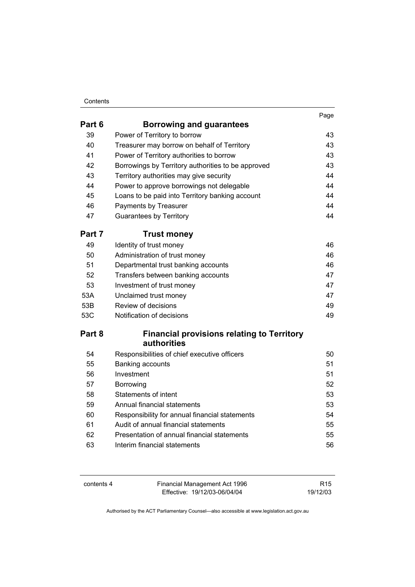#### **Contents**

|        |                                                                  | Page |
|--------|------------------------------------------------------------------|------|
| Part 6 | Borrowing and guarantees                                         |      |
| 39     | Power of Territory to borrow                                     | 43   |
| 40     | Treasurer may borrow on behalf of Territory                      | 43   |
| 41     | Power of Territory authorities to borrow                         | 43   |
| 42     | Borrowings by Territory authorities to be approved               | 43   |
| 43     | Territory authorities may give security                          | 44   |
| 44     | Power to approve borrowings not delegable                        | 44   |
| 45     | Loans to be paid into Territory banking account                  | 44   |
| 46     | Payments by Treasurer                                            | 44   |
| 47     | <b>Guarantees by Territory</b>                                   | 44   |
| Part 7 | <b>Trust money</b>                                               |      |
| 49     | Identity of trust money                                          | 46   |
| 50     | Administration of trust money                                    | 46   |
| 51     | Departmental trust banking accounts                              | 46   |
| 52     | Transfers between banking accounts                               | 47   |
| 53     | Investment of trust money                                        | 47   |
| 53A    | Unclaimed trust money                                            | 47   |
| 53B    | Review of decisions                                              | 49   |
| 53C    | Notification of decisions                                        | 49   |
| Part 8 | <b>Financial provisions relating to Territory</b><br>authorities |      |
| 54     | Responsibilities of chief executive officers                     | 50   |
| 55     | Banking accounts                                                 | 51   |
| 56     | Investment                                                       | 51   |
| 57     | Borrowing                                                        | 52   |
| 58     | Statements of intent                                             | 53   |
| 59     | Annual financial statements                                      | 53   |
| 60     | Responsibility for annual financial statements                   | 54   |
| 61     | Audit of annual financial statements                             | 55   |
| 62     | Presentation of annual financial statements                      | 55   |
| 63     | Interim financial statements                                     | 56   |
|        |                                                                  |      |

contents 4 Financial Management Act 1996 Effective: 19/12/03-06/04/04

R15 19/12/03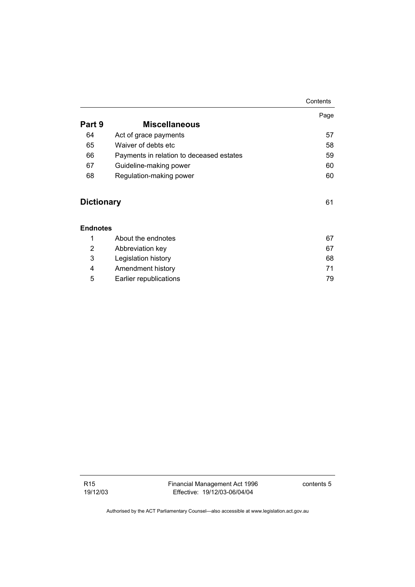|                   |                                          | Contents |
|-------------------|------------------------------------------|----------|
|                   |                                          | Page     |
| Part 9            | <b>Miscellaneous</b>                     |          |
| 64                | Act of grace payments                    | 57       |
| 65                | Waiver of debts etc                      | 58       |
| 66                | Payments in relation to deceased estates | 59       |
| 67                | Guideline-making power                   | 60       |
| 68                | Regulation-making power                  | 60       |
| <b>Dictionary</b> |                                          | 61       |
| <b>Endnotes</b>   |                                          |          |
| 1                 | About the endnotes                       | 67       |
| 2                 | Abbreviation key                         | 67       |
| 3                 | Legislation history                      | 68       |
| 4                 | Amendment history                        | 71       |
| 5                 | Earlier republications                   | 79       |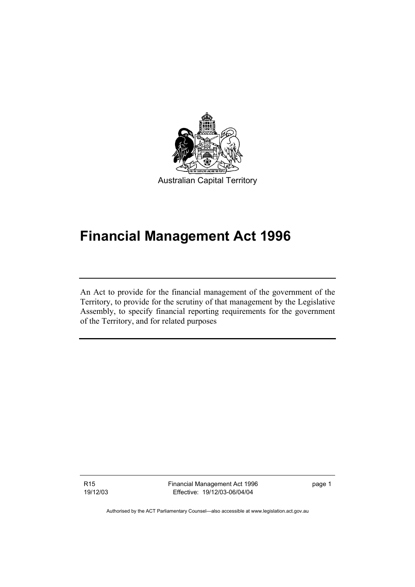

# **Financial Management Act 1996**

An Act to provide for the financial management of the government of the Territory, to provide for the scrutiny of that management by the Legislative Assembly, to specify financial reporting requirements for the government of the Territory, and for related purposes

R15 19/12/03 Financial Management Act 1996 Effective: 19/12/03-06/04/04

page 1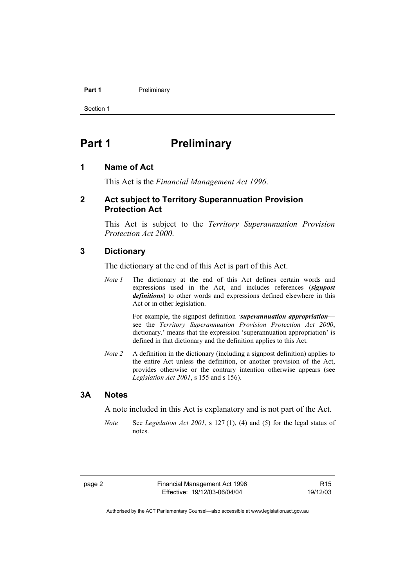#### Part 1 **Preliminary**

Section 1

# **Part 1** Preliminary

#### **1 Name of Act**

This Act is the *Financial Management Act 1996*.

#### **2 Act subject to Territory Superannuation Provision Protection Act**

This Act is subject to the *Territory Superannuation Provision Protection Act 2000*.

#### **3 Dictionary**

The dictionary at the end of this Act is part of this Act.

*Note 1* The dictionary at the end of this Act defines certain words and expressions used in the Act, and includes references (*signpost definitions*) to other words and expressions defined elsewhere in this Act or in other legislation.

> For example, the signpost definition '*superannuation appropriation* see the *Territory Superannuation Provision Protection Act 2000*, dictionary.' means that the expression 'superannuation appropriation' is defined in that dictionary and the definition applies to this Act.

*Note 2* A definition in the dictionary (including a signpost definition) applies to the entire Act unless the definition, or another provision of the Act, provides otherwise or the contrary intention otherwise appears (see *Legislation Act 2001*, s 155 and s 156).

#### **3A Notes**

A note included in this Act is explanatory and is not part of the Act.

*Note* See *Legislation Act 2001*, s 127 (1), (4) and (5) for the legal status of notes.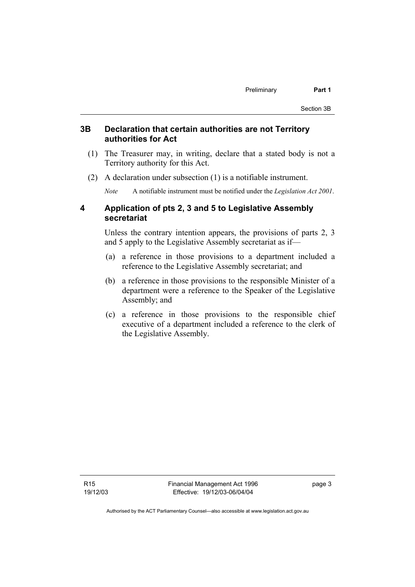#### **3B Declaration that certain authorities are not Territory authorities for Act**

- (1) The Treasurer may, in writing, declare that a stated body is not a Territory authority for this Act.
- (2) A declaration under subsection (1) is a notifiable instrument.

*Note* A notifiable instrument must be notified under the *Legislation Act 2001*.

#### **4 Application of pts 2, 3 and 5 to Legislative Assembly secretariat**

Unless the contrary intention appears, the provisions of parts 2, 3 and 5 apply to the Legislative Assembly secretariat as if—

- (a) a reference in those provisions to a department included a reference to the Legislative Assembly secretariat; and
- (b) a reference in those provisions to the responsible Minister of a department were a reference to the Speaker of the Legislative Assembly; and
- (c) a reference in those provisions to the responsible chief executive of a department included a reference to the clerk of the Legislative Assembly.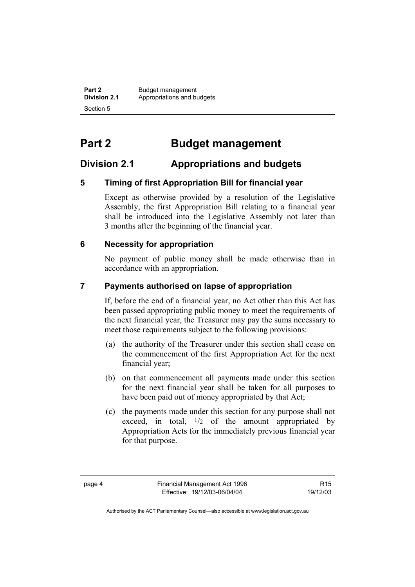**Part 2 Budget management**<br>**Division 2.1 Appropriations and by Division 2.1** Appropriations and budgets Section 5

# **Part 2 Budget management**

## **Division 2.1 Appropriations and budgets**

## **5 Timing of first Appropriation Bill for financial year**

Except as otherwise provided by a resolution of the Legislative Assembly, the first Appropriation Bill relating to a financial year shall be introduced into the Legislative Assembly not later than 3 months after the beginning of the financial year.

#### **6 Necessity for appropriation**

No payment of public money shall be made otherwise than in accordance with an appropriation.

#### **7 Payments authorised on lapse of appropriation**

If, before the end of a financial year, no Act other than this Act has been passed appropriating public money to meet the requirements of the next financial year, the Treasurer may pay the sums necessary to meet those requirements subject to the following provisions:

- (a) the authority of the Treasurer under this section shall cease on the commencement of the first Appropriation Act for the next financial year;
- (b) on that commencement all payments made under this section for the next financial year shall be taken for all purposes to have been paid out of money appropriated by that Act;
- (c) the payments made under this section for any purpose shall not exceed, in total,  $\frac{1}{2}$  of the amount appropriated by Appropriation Acts for the immediately previous financial year for that purpose.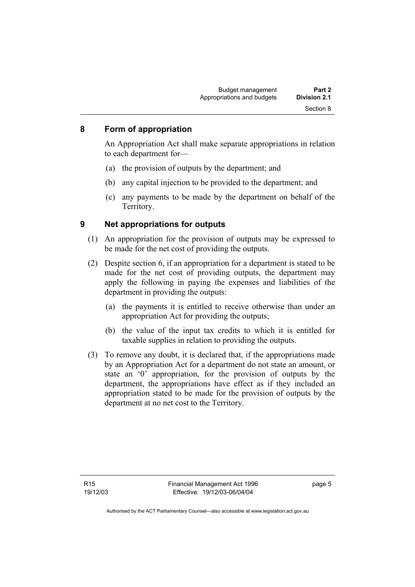### **8 Form of appropriation**

An Appropriation Act shall make separate appropriations in relation to each department for—

- (a) the provision of outputs by the department; and
- (b) any capital injection to be provided to the department; and
- (c) any payments to be made by the department on behalf of the Territory.

#### **9 Net appropriations for outputs**

- (1) An appropriation for the provision of outputs may be expressed to be made for the net cost of providing the outputs.
- (2) Despite section 6, if an appropriation for a department is stated to be made for the net cost of providing outputs, the department may apply the following in paying the expenses and liabilities of the department in providing the outputs:
	- (a) the payments it is entitled to receive otherwise than under an appropriation Act for providing the outputs;
	- (b) the value of the input tax credits to which it is entitled for taxable supplies in relation to providing the outputs.
- (3) To remove any doubt, it is declared that, if the appropriations made by an Appropriation Act for a department do not state an amount, or state an '0' appropriation, for the provision of outputs by the department, the appropriations have effect as if they included an appropriation stated to be made for the provision of outputs by the department at no net cost to the Territory.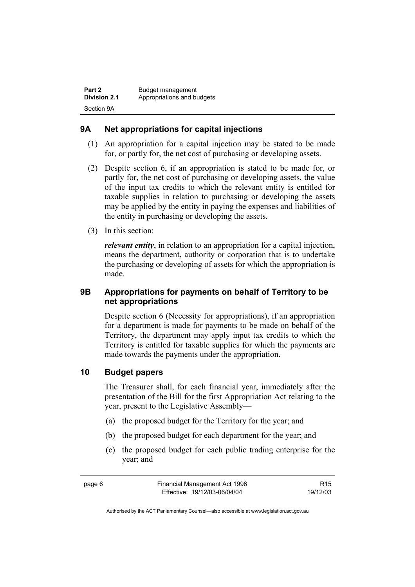## **9A Net appropriations for capital injections**

- (1) An appropriation for a capital injection may be stated to be made for, or partly for, the net cost of purchasing or developing assets.
- (2) Despite section 6, if an appropriation is stated to be made for, or partly for, the net cost of purchasing or developing assets, the value of the input tax credits to which the relevant entity is entitled for taxable supplies in relation to purchasing or developing the assets may be applied by the entity in paying the expenses and liabilities of the entity in purchasing or developing the assets.
- (3) In this section:

*relevant entity*, in relation to an appropriation for a capital injection, means the department, authority or corporation that is to undertake the purchasing or developing of assets for which the appropriation is made.

## **9B Appropriations for payments on behalf of Territory to be net appropriations**

Despite section 6 (Necessity for appropriations), if an appropriation for a department is made for payments to be made on behalf of the Territory, the department may apply input tax credits to which the Territory is entitled for taxable supplies for which the payments are made towards the payments under the appropriation.

## **10 Budget papers**

The Treasurer shall, for each financial year, immediately after the presentation of the Bill for the first Appropriation Act relating to the year, present to the Legislative Assembly—

- (a) the proposed budget for the Territory for the year; and
- (b) the proposed budget for each department for the year; and
- (c) the proposed budget for each public trading enterprise for the year; and

| page 6 | Financial Management Act 1996 | R <sub>15</sub> |
|--------|-------------------------------|-----------------|
|        | Effective: 19/12/03-06/04/04  | 19/12/03        |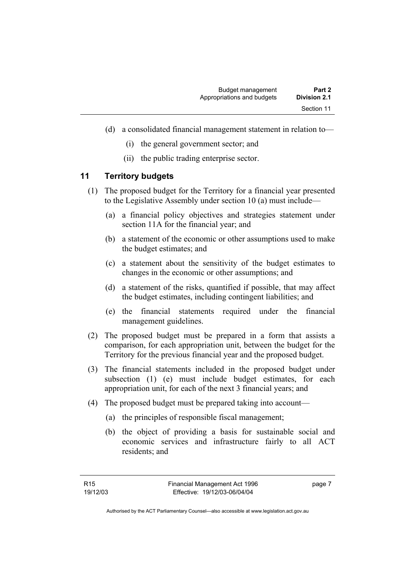- (d) a consolidated financial management statement in relation to—
	- (i) the general government sector; and
	- (ii) the public trading enterprise sector.

#### **11 Territory budgets**

- (1) The proposed budget for the Territory for a financial year presented to the Legislative Assembly under section 10 (a) must include—
	- (a) a financial policy objectives and strategies statement under section 11A for the financial year; and
	- (b) a statement of the economic or other assumptions used to make the budget estimates; and
	- (c) a statement about the sensitivity of the budget estimates to changes in the economic or other assumptions; and
	- (d) a statement of the risks, quantified if possible, that may affect the budget estimates, including contingent liabilities; and
	- (e) the financial statements required under the financial management guidelines.
- (2) The proposed budget must be prepared in a form that assists a comparison, for each appropriation unit, between the budget for the Territory for the previous financial year and the proposed budget.
- (3) The financial statements included in the proposed budget under subsection (1) (e) must include budget estimates, for each appropriation unit, for each of the next 3 financial years; and
- (4) The proposed budget must be prepared taking into account—
	- (a) the principles of responsible fiscal management;
	- (b) the object of providing a basis for sustainable social and economic services and infrastructure fairly to all ACT residents; and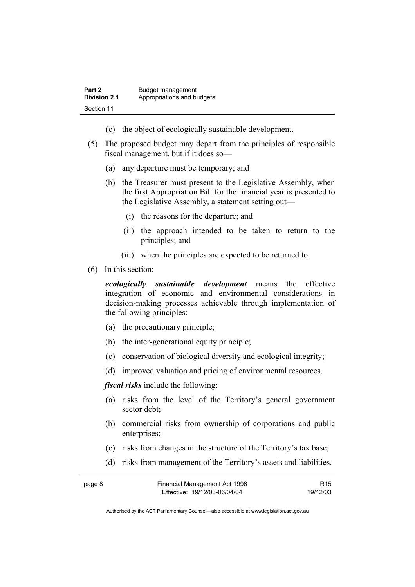- (c) the object of ecologically sustainable development.
- (5) The proposed budget may depart from the principles of responsible fiscal management, but if it does so—
	- (a) any departure must be temporary; and
	- (b) the Treasurer must present to the Legislative Assembly, when the first Appropriation Bill for the financial year is presented to the Legislative Assembly, a statement setting out—
		- (i) the reasons for the departure; and
		- (ii) the approach intended to be taken to return to the principles; and
		- (iii) when the principles are expected to be returned to.
- (6) In this section:

*ecologically sustainable development* means the effective integration of economic and environmental considerations in decision-making processes achievable through implementation of the following principles:

- (a) the precautionary principle;
- (b) the inter-generational equity principle;
- (c) conservation of biological diversity and ecological integrity;
- (d) improved valuation and pricing of environmental resources.

*fiscal risks* include the following:

- (a) risks from the level of the Territory's general government sector debt;
- (b) commercial risks from ownership of corporations and public enterprises;
- (c) risks from changes in the structure of the Territory's tax base;
- (d) risks from management of the Territory's assets and liabilities.

| page 8 | Financial Management Act 1996 | R <sub>15</sub> |
|--------|-------------------------------|-----------------|
|        | Effective: 19/12/03-06/04/04  | 19/12/03        |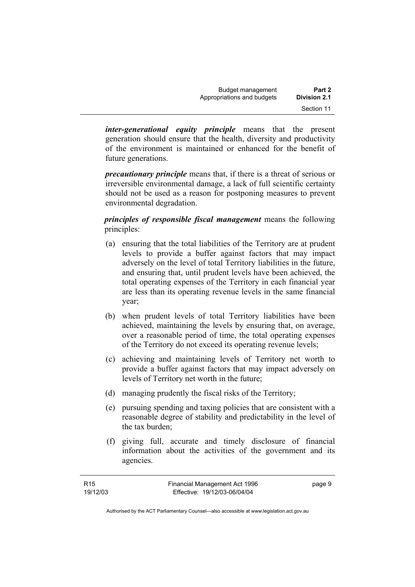*inter-generational equity principle* means that the present generation should ensure that the health, diversity and productivity of the environment is maintained or enhanced for the benefit of future generations.

*precautionary principle* means that, if there is a threat of serious or irreversible environmental damage, a lack of full scientific certainty should not be used as a reason for postponing measures to prevent environmental degradation.

*principles of responsible fiscal management* means the following principles:

- (a) ensuring that the total liabilities of the Territory are at prudent levels to provide a buffer against factors that may impact adversely on the level of total Territory liabilities in the future, and ensuring that, until prudent levels have been achieved, the total operating expenses of the Territory in each financial year are less than its operating revenue levels in the same financial year;
- (b) when prudent levels of total Territory liabilities have been achieved, maintaining the levels by ensuring that, on average, over a reasonable period of time, the total operating expenses of the Territory do not exceed its operating revenue levels;
- (c) achieving and maintaining levels of Territory net worth to provide a buffer against factors that may impact adversely on levels of Territory net worth in the future;
- (d) managing prudently the fiscal risks of the Territory;
- (e) pursuing spending and taxing policies that are consistent with a reasonable degree of stability and predictability in the level of the tax burden;
- (f) giving full, accurate and timely disclosure of financial information about the activities of the government and its agencies.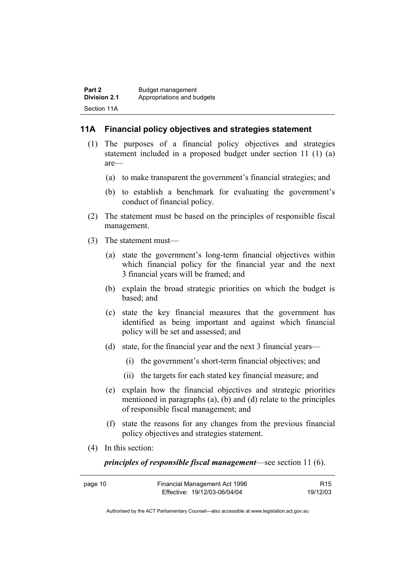#### **11A Financial policy objectives and strategies statement**

- (1) The purposes of a financial policy objectives and strategies statement included in a proposed budget under section 11 (1) (a) are—
	- (a) to make transparent the government's financial strategies; and
	- (b) to establish a benchmark for evaluating the government's conduct of financial policy.
- (2) The statement must be based on the principles of responsible fiscal management.
- (3) The statement must—
	- (a) state the government's long-term financial objectives within which financial policy for the financial year and the next 3 financial years will be framed; and
	- (b) explain the broad strategic priorities on which the budget is based; and
	- (c) state the key financial measures that the government has identified as being important and against which financial policy will be set and assessed; and
	- (d) state, for the financial year and the next 3 financial years—
		- (i) the government's short-term financial objectives; and
		- (ii) the targets for each stated key financial measure; and
	- (e) explain how the financial objectives and strategic priorities mentioned in paragraphs (a), (b) and (d) relate to the principles of responsible fiscal management; and
	- (f) state the reasons for any changes from the previous financial policy objectives and strategies statement.
- (4) In this section:

*principles of responsible fiscal management*—see section 11 (6).

| page 10 | Financial Management Act 1996 | R <sub>15</sub> |
|---------|-------------------------------|-----------------|
|         | Effective: 19/12/03-06/04/04  | 19/12/03        |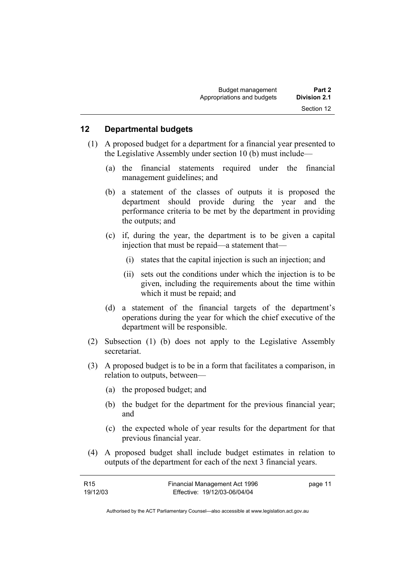#### **12 Departmental budgets**

- (1) A proposed budget for a department for a financial year presented to the Legislative Assembly under section 10 (b) must include—
	- (a) the financial statements required under the financial management guidelines; and
	- (b) a statement of the classes of outputs it is proposed the department should provide during the year and the performance criteria to be met by the department in providing the outputs; and
	- (c) if, during the year, the department is to be given a capital injection that must be repaid—a statement that—
		- (i) states that the capital injection is such an injection; and
		- (ii) sets out the conditions under which the injection is to be given, including the requirements about the time within which it must be repaid; and
	- (d) a statement of the financial targets of the department's operations during the year for which the chief executive of the department will be responsible.
- (2) Subsection (1) (b) does not apply to the Legislative Assembly secretariat.
- (3) A proposed budget is to be in a form that facilitates a comparison, in relation to outputs, between—
	- (a) the proposed budget; and
	- (b) the budget for the department for the previous financial year; and
	- (c) the expected whole of year results for the department for that previous financial year.
- (4) A proposed budget shall include budget estimates in relation to outputs of the department for each of the next 3 financial years.

| R <sub>15</sub> | Financial Management Act 1996 | page 11 |
|-----------------|-------------------------------|---------|
| 19/12/03        | Effective: 19/12/03-06/04/04  |         |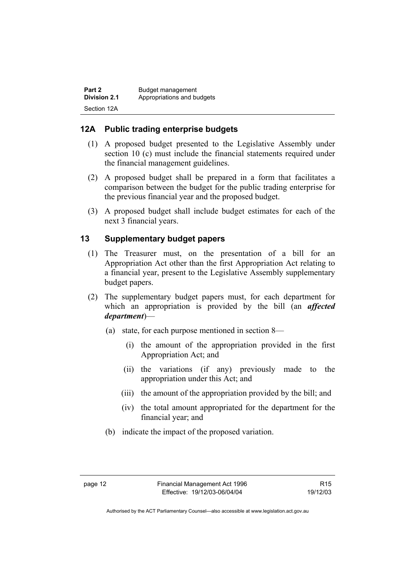| Part 2              | Budget management          |
|---------------------|----------------------------|
| <b>Division 2.1</b> | Appropriations and budgets |
| Section 12A         |                            |

## **12A Public trading enterprise budgets**

- (1) A proposed budget presented to the Legislative Assembly under section 10 (c) must include the financial statements required under the financial management guidelines.
- (2) A proposed budget shall be prepared in a form that facilitates a comparison between the budget for the public trading enterprise for the previous financial year and the proposed budget.
- (3) A proposed budget shall include budget estimates for each of the next 3 financial years.

#### **13 Supplementary budget papers**

- (1) The Treasurer must, on the presentation of a bill for an Appropriation Act other than the first Appropriation Act relating to a financial year, present to the Legislative Assembly supplementary budget papers.
- (2) The supplementary budget papers must, for each department for which an appropriation is provided by the bill (an *affected department*)—
	- (a) state, for each purpose mentioned in section 8—
		- (i) the amount of the appropriation provided in the first Appropriation Act; and
		- (ii) the variations (if any) previously made to the appropriation under this Act; and
		- (iii) the amount of the appropriation provided by the bill; and
		- (iv) the total amount appropriated for the department for the financial year; and
	- (b) indicate the impact of the proposed variation.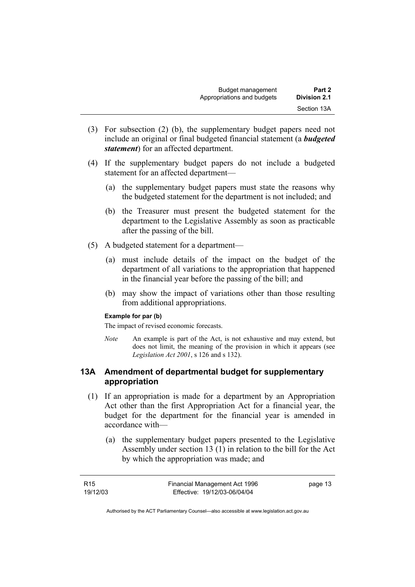- (3) For subsection (2) (b), the supplementary budget papers need not include an original or final budgeted financial statement (a *budgeted statement*) for an affected department.
- (4) If the supplementary budget papers do not include a budgeted statement for an affected department—
	- (a) the supplementary budget papers must state the reasons why the budgeted statement for the department is not included; and
	- (b) the Treasurer must present the budgeted statement for the department to the Legislative Assembly as soon as practicable after the passing of the bill.
- (5) A budgeted statement for a department—
	- (a) must include details of the impact on the budget of the department of all variations to the appropriation that happened in the financial year before the passing of the bill; and
	- (b) may show the impact of variations other than those resulting from additional appropriations.

#### **Example for par (b)**

The impact of revised economic forecasts.

*Note* An example is part of the Act, is not exhaustive and may extend, but does not limit, the meaning of the provision in which it appears (see *Legislation Act 2001*, s 126 and s 132).

#### **13A Amendment of departmental budget for supplementary appropriation**

- (1) If an appropriation is made for a department by an Appropriation Act other than the first Appropriation Act for a financial year, the budget for the department for the financial year is amended in accordance with—
	- (a) the supplementary budget papers presented to the Legislative Assembly under section 13 (1) in relation to the bill for the Act by which the appropriation was made; and

| R <sub>15</sub> | Financial Management Act 1996 | page 13 |
|-----------------|-------------------------------|---------|
| 19/12/03        | Effective: 19/12/03-06/04/04  |         |

Authorised by the ACT Parliamentary Counsel—also accessible at www.legislation.act.gov.au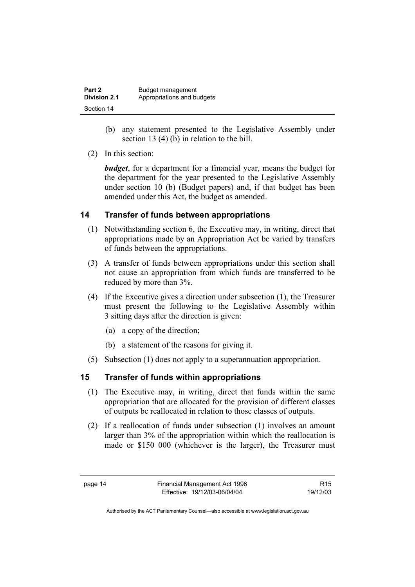| Part 2              | Budget management          |
|---------------------|----------------------------|
| <b>Division 2.1</b> | Appropriations and budgets |
| Section 14          |                            |

- (b) any statement presented to the Legislative Assembly under section 13 (4) (b) in relation to the bill.
- (2) In this section:

*budget*, for a department for a financial year, means the budget for the department for the year presented to the Legislative Assembly under section 10 (b) (Budget papers) and, if that budget has been amended under this Act, the budget as amended.

## **14 Transfer of funds between appropriations**

- (1) Notwithstanding section 6, the Executive may, in writing, direct that appropriations made by an Appropriation Act be varied by transfers of funds between the appropriations.
- (3) A transfer of funds between appropriations under this section shall not cause an appropriation from which funds are transferred to be reduced by more than 3%.
- (4) If the Executive gives a direction under subsection (1), the Treasurer must present the following to the Legislative Assembly within 3 sitting days after the direction is given:
	- (a) a copy of the direction;
	- (b) a statement of the reasons for giving it.
- (5) Subsection (1) does not apply to a superannuation appropriation.

## **15 Transfer of funds within appropriations**

- (1) The Executive may, in writing, direct that funds within the same appropriation that are allocated for the provision of different classes of outputs be reallocated in relation to those classes of outputs.
- (2) If a reallocation of funds under subsection (1) involves an amount larger than 3% of the appropriation within which the reallocation is made or \$150 000 (whichever is the larger), the Treasurer must

R15 19/12/03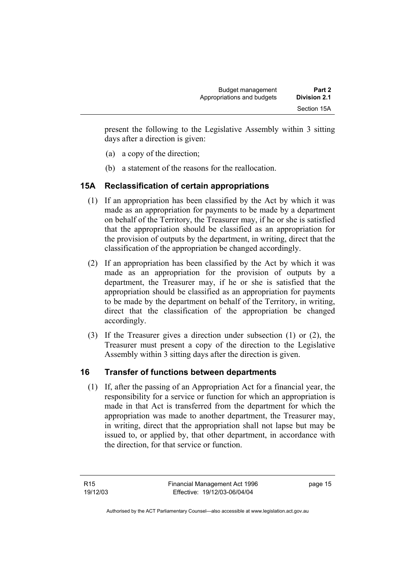present the following to the Legislative Assembly within 3 sitting days after a direction is given:

- (a) a copy of the direction;
- (b) a statement of the reasons for the reallocation.

## **15A Reclassification of certain appropriations**

- (1) If an appropriation has been classified by the Act by which it was made as an appropriation for payments to be made by a department on behalf of the Territory, the Treasurer may, if he or she is satisfied that the appropriation should be classified as an appropriation for the provision of outputs by the department, in writing, direct that the classification of the appropriation be changed accordingly.
- (2) If an appropriation has been classified by the Act by which it was made as an appropriation for the provision of outputs by a department, the Treasurer may, if he or she is satisfied that the appropriation should be classified as an appropriation for payments to be made by the department on behalf of the Territory, in writing, direct that the classification of the appropriation be changed accordingly.
- (3) If the Treasurer gives a direction under subsection (1) or (2), the Treasurer must present a copy of the direction to the Legislative Assembly within 3 sitting days after the direction is given.

## **16 Transfer of functions between departments**

 (1) If, after the passing of an Appropriation Act for a financial year, the responsibility for a service or function for which an appropriation is made in that Act is transferred from the department for which the appropriation was made to another department, the Treasurer may, in writing, direct that the appropriation shall not lapse but may be issued to, or applied by, that other department, in accordance with the direction, for that service or function.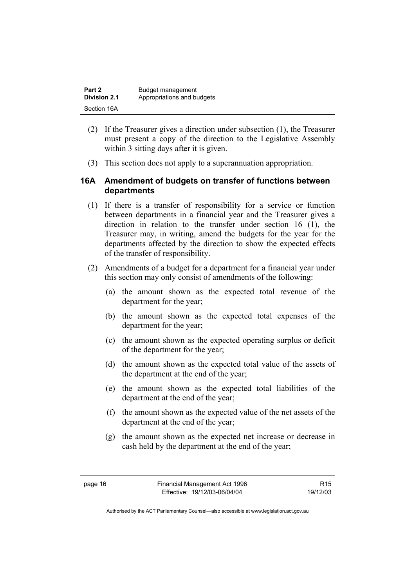| Part 2              | Budget management          |
|---------------------|----------------------------|
| <b>Division 2.1</b> | Appropriations and budgets |
| Section 16A         |                            |

- (2) If the Treasurer gives a direction under subsection (1), the Treasurer must present a copy of the direction to the Legislative Assembly within 3 sitting days after it is given.
- (3) This section does not apply to a superannuation appropriation.

#### **16A Amendment of budgets on transfer of functions between departments**

- (1) If there is a transfer of responsibility for a service or function between departments in a financial year and the Treasurer gives a direction in relation to the transfer under section 16 (1), the Treasurer may, in writing, amend the budgets for the year for the departments affected by the direction to show the expected effects of the transfer of responsibility.
- (2) Amendments of a budget for a department for a financial year under this section may only consist of amendments of the following:
	- (a) the amount shown as the expected total revenue of the department for the year;
	- (b) the amount shown as the expected total expenses of the department for the year;
	- (c) the amount shown as the expected operating surplus or deficit of the department for the year;
	- (d) the amount shown as the expected total value of the assets of the department at the end of the year;
	- (e) the amount shown as the expected total liabilities of the department at the end of the year;
	- (f) the amount shown as the expected value of the net assets of the department at the end of the year;
	- (g) the amount shown as the expected net increase or decrease in cash held by the department at the end of the year;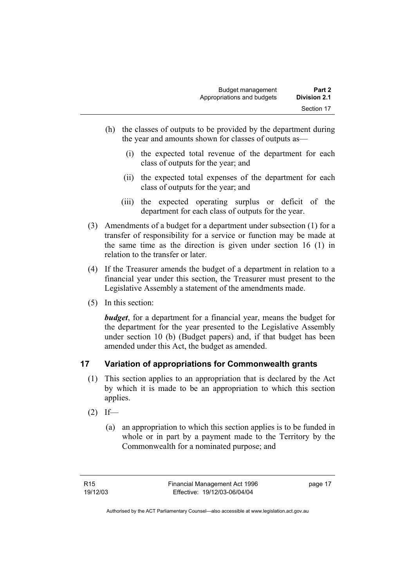- (h) the classes of outputs to be provided by the department during the year and amounts shown for classes of outputs as—
	- (i) the expected total revenue of the department for each class of outputs for the year; and
	- (ii) the expected total expenses of the department for each class of outputs for the year; and
	- (iii) the expected operating surplus or deficit of the department for each class of outputs for the year.
- (3) Amendments of a budget for a department under subsection (1) for a transfer of responsibility for a service or function may be made at the same time as the direction is given under section 16 (1) in relation to the transfer or later.
- (4) If the Treasurer amends the budget of a department in relation to a financial year under this section, the Treasurer must present to the Legislative Assembly a statement of the amendments made.
- (5) In this section:

*budget*, for a department for a financial year, means the budget for the department for the year presented to the Legislative Assembly under section 10 (b) (Budget papers) and, if that budget has been amended under this Act, the budget as amended.

## **17 Variation of appropriations for Commonwealth grants**

- (1) This section applies to an appropriation that is declared by the Act by which it is made to be an appropriation to which this section applies.
- $(2)$  If—
	- (a) an appropriation to which this section applies is to be funded in whole or in part by a payment made to the Territory by the Commonwealth for a nominated purpose; and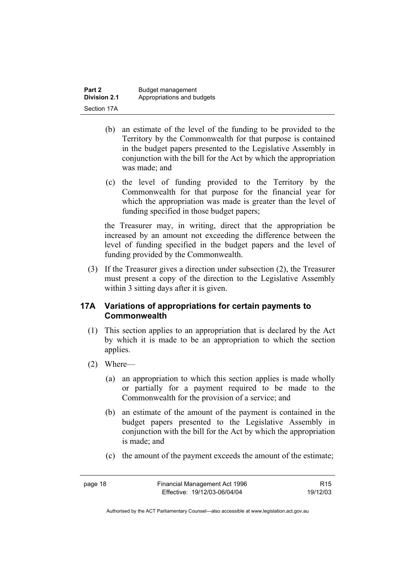| Part 2              | Budget management          |
|---------------------|----------------------------|
| <b>Division 2.1</b> | Appropriations and budgets |
| Section 17A         |                            |

- (b) an estimate of the level of the funding to be provided to the Territory by the Commonwealth for that purpose is contained in the budget papers presented to the Legislative Assembly in conjunction with the bill for the Act by which the appropriation was made; and
- (c) the level of funding provided to the Territory by the Commonwealth for that purpose for the financial year for which the appropriation was made is greater than the level of funding specified in those budget papers;

the Treasurer may, in writing, direct that the appropriation be increased by an amount not exceeding the difference between the level of funding specified in the budget papers and the level of funding provided by the Commonwealth.

 (3) If the Treasurer gives a direction under subsection (2), the Treasurer must present a copy of the direction to the Legislative Assembly within 3 sitting days after it is given.

#### **17A Variations of appropriations for certain payments to Commonwealth**

- (1) This section applies to an appropriation that is declared by the Act by which it is made to be an appropriation to which the section applies.
- (2) Where—
	- (a) an appropriation to which this section applies is made wholly or partially for a payment required to be made to the Commonwealth for the provision of a service; and
	- (b) an estimate of the amount of the payment is contained in the budget papers presented to the Legislative Assembly in conjunction with the bill for the Act by which the appropriation is made; and
	- (c) the amount of the payment exceeds the amount of the estimate;

page 18 Financial Management Act 1996 Effective: 19/12/03-06/04/04 R15 19/12/03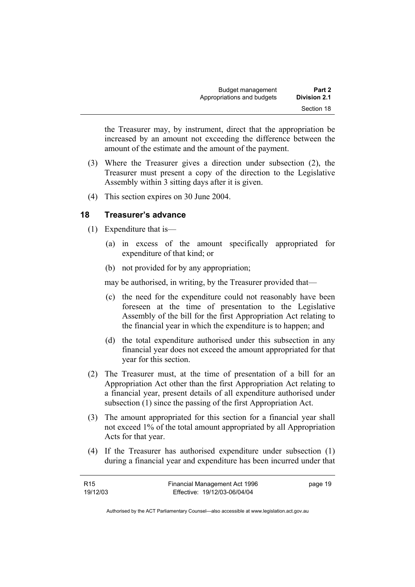the Treasurer may, by instrument, direct that the appropriation be increased by an amount not exceeding the difference between the amount of the estimate and the amount of the payment.

- (3) Where the Treasurer gives a direction under subsection (2), the Treasurer must present a copy of the direction to the Legislative Assembly within 3 sitting days after it is given.
- (4) This section expires on 30 June 2004.

#### **18 Treasurer's advance**

- (1) Expenditure that is—
	- (a) in excess of the amount specifically appropriated for expenditure of that kind; or
	- (b) not provided for by any appropriation;

may be authorised, in writing, by the Treasurer provided that—

- (c) the need for the expenditure could not reasonably have been foreseen at the time of presentation to the Legislative Assembly of the bill for the first Appropriation Act relating to the financial year in which the expenditure is to happen; and
- (d) the total expenditure authorised under this subsection in any financial year does not exceed the amount appropriated for that year for this section.
- (2) The Treasurer must, at the time of presentation of a bill for an Appropriation Act other than the first Appropriation Act relating to a financial year, present details of all expenditure authorised under subsection (1) since the passing of the first Appropriation Act.
- (3) The amount appropriated for this section for a financial year shall not exceed 1% of the total amount appropriated by all Appropriation Acts for that year.
- (4) If the Treasurer has authorised expenditure under subsection (1) during a financial year and expenditure has been incurred under that

| R <sub>15</sub> | Financial Management Act 1996 | page 19 |
|-----------------|-------------------------------|---------|
| 19/12/03        | Effective: 19/12/03-06/04/04  |         |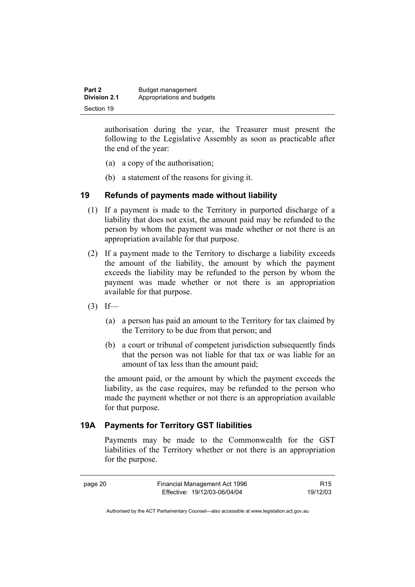| Part 2       | Budget management          |
|--------------|----------------------------|
| Division 2.1 | Appropriations and budgets |
| Section 19   |                            |

authorisation during the year, the Treasurer must present the following to the Legislative Assembly as soon as practicable after the end of the year:

- (a) a copy of the authorisation;
- (b) a statement of the reasons for giving it.

#### **19 Refunds of payments made without liability**

- (1) If a payment is made to the Territory in purported discharge of a liability that does not exist, the amount paid may be refunded to the person by whom the payment was made whether or not there is an appropriation available for that purpose.
- (2) If a payment made to the Territory to discharge a liability exceeds the amount of the liability, the amount by which the payment exceeds the liability may be refunded to the person by whom the payment was made whether or not there is an appropriation available for that purpose.
- $(3)$  If—
	- (a) a person has paid an amount to the Territory for tax claimed by the Territory to be due from that person; and
	- (b) a court or tribunal of competent jurisdiction subsequently finds that the person was not liable for that tax or was liable for an amount of tax less than the amount paid;

the amount paid, or the amount by which the payment exceeds the liability, as the case requires, may be refunded to the person who made the payment whether or not there is an appropriation available for that purpose.

#### **19A Payments for Territory GST liabilities**

Payments may be made to the Commonwealth for the GST liabilities of the Territory whether or not there is an appropriation for the purpose.

R15 19/12/03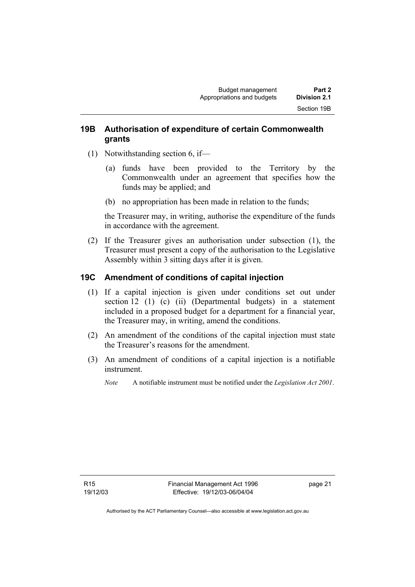#### **19B Authorisation of expenditure of certain Commonwealth grants**

- (1) Notwithstanding section 6, if—
	- (a) funds have been provided to the Territory by the Commonwealth under an agreement that specifies how the funds may be applied; and
	- (b) no appropriation has been made in relation to the funds;

the Treasurer may, in writing, authorise the expenditure of the funds in accordance with the agreement.

 (2) If the Treasurer gives an authorisation under subsection (1), the Treasurer must present a copy of the authorisation to the Legislative Assembly within 3 sitting days after it is given.

## **19C Amendment of conditions of capital injection**

- (1) If a capital injection is given under conditions set out under section 12 (1) (c) (ii) (Departmental budgets) in a statement included in a proposed budget for a department for a financial year, the Treasurer may, in writing, amend the conditions.
- (2) An amendment of the conditions of the capital injection must state the Treasurer's reasons for the amendment.
- (3) An amendment of conditions of a capital injection is a notifiable instrument.
	- *Note* A notifiable instrument must be notified under the *Legislation Act 2001*.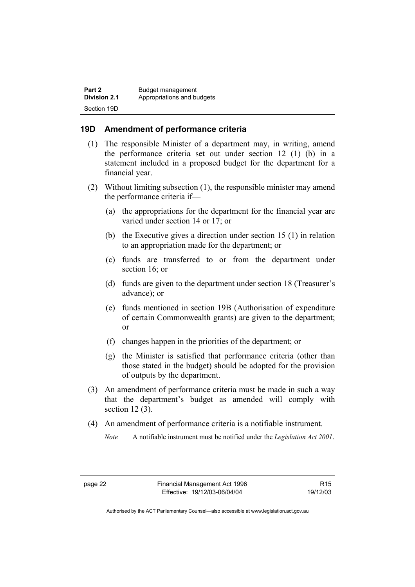| Part 2              | Budget management          |
|---------------------|----------------------------|
| <b>Division 2.1</b> | Appropriations and budgets |
| Section 19D         |                            |

#### **19D Amendment of performance criteria**

- (1) The responsible Minister of a department may, in writing, amend the performance criteria set out under section 12 (1) (b) in a statement included in a proposed budget for the department for a financial year.
- (2) Without limiting subsection (1), the responsible minister may amend the performance criteria if—
	- (a) the appropriations for the department for the financial year are varied under section 14 or 17; or
	- (b) the Executive gives a direction under section 15 (1) in relation to an appropriation made for the department; or
	- (c) funds are transferred to or from the department under section 16; or
	- (d) funds are given to the department under section 18 (Treasurer's advance); or
	- (e) funds mentioned in section 19B (Authorisation of expenditure of certain Commonwealth grants) are given to the department; or
	- (f) changes happen in the priorities of the department; or
	- (g) the Minister is satisfied that performance criteria (other than those stated in the budget) should be adopted for the provision of outputs by the department.
- (3) An amendment of performance criteria must be made in such a way that the department's budget as amended will comply with section 12 (3).
- (4) An amendment of performance criteria is a notifiable instrument.
	- *Note* A notifiable instrument must be notified under the *Legislation Act 2001*.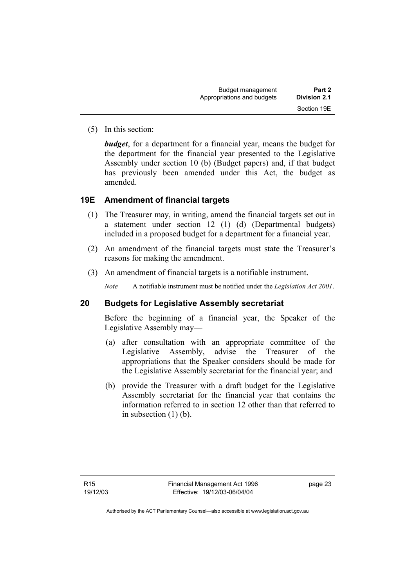| Budget management          | Part 2              |
|----------------------------|---------------------|
| Appropriations and budgets | <b>Division 2.1</b> |
|                            | Section 19E         |

(5) In this section:

*budget*, for a department for a financial year, means the budget for the department for the financial year presented to the Legislative Assembly under section 10 (b) (Budget papers) and, if that budget has previously been amended under this Act, the budget as amended.

#### **19E Amendment of financial targets**

- (1) The Treasurer may, in writing, amend the financial targets set out in a statement under section 12 (1) (d) (Departmental budgets) included in a proposed budget for a department for a financial year.
- (2) An amendment of the financial targets must state the Treasurer's reasons for making the amendment.
- (3) An amendment of financial targets is a notifiable instrument.

*Note* A notifiable instrument must be notified under the *Legislation Act 2001*.

#### **20 Budgets for Legislative Assembly secretariat**

Before the beginning of a financial year, the Speaker of the Legislative Assembly may—

- (a) after consultation with an appropriate committee of the Legislative Assembly, advise the Treasurer of the appropriations that the Speaker considers should be made for the Legislative Assembly secretariat for the financial year; and
- (b) provide the Treasurer with a draft budget for the Legislative Assembly secretariat for the financial year that contains the information referred to in section 12 other than that referred to in subsection (1) (b).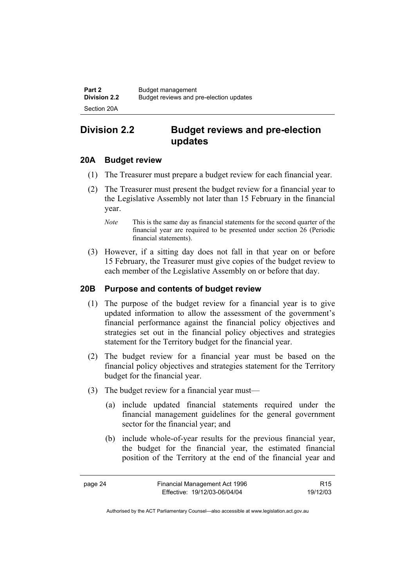# **Division 2.2 Budget reviews and pre-election updates**

#### **20A Budget review**

- (1) The Treasurer must prepare a budget review for each financial year.
- (2) The Treasurer must present the budget review for a financial year to the Legislative Assembly not later than 15 February in the financial year.
	- *Note* This is the same day as financial statements for the second quarter of the financial year are required to be presented under section 26 (Periodic financial statements).
- (3) However, if a sitting day does not fall in that year on or before 15 February, the Treasurer must give copies of the budget review to each member of the Legislative Assembly on or before that day.

#### **20B Purpose and contents of budget review**

- (1) The purpose of the budget review for a financial year is to give updated information to allow the assessment of the government's financial performance against the financial policy objectives and strategies set out in the financial policy objectives and strategies statement for the Territory budget for the financial year.
- (2) The budget review for a financial year must be based on the financial policy objectives and strategies statement for the Territory budget for the financial year.
- (3) The budget review for a financial year must—
	- (a) include updated financial statements required under the financial management guidelines for the general government sector for the financial year; and
	- (b) include whole-of-year results for the previous financial year, the budget for the financial year, the estimated financial position of the Territory at the end of the financial year and

|--|--|

R15 19/12/03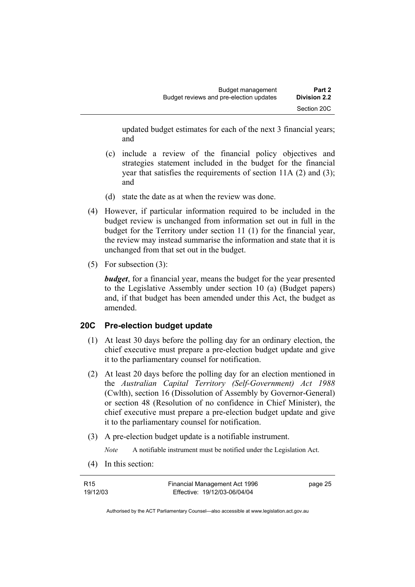updated budget estimates for each of the next 3 financial years; and

- (c) include a review of the financial policy objectives and strategies statement included in the budget for the financial year that satisfies the requirements of section 11A (2) and (3); and
- (d) state the date as at when the review was done.
- (4) However, if particular information required to be included in the budget review is unchanged from information set out in full in the budget for the Territory under section 11 (1) for the financial year, the review may instead summarise the information and state that it is unchanged from that set out in the budget.
- (5) For subsection (3):

*budget*, for a financial year, means the budget for the year presented to the Legislative Assembly under section 10 (a) (Budget papers) and, if that budget has been amended under this Act, the budget as amended.

## **20C Pre-election budget update**

- (1) At least 30 days before the polling day for an ordinary election, the chief executive must prepare a pre-election budget update and give it to the parliamentary counsel for notification.
- (2) At least 20 days before the polling day for an election mentioned in the *Australian Capital Territory (Self-Government) Act 1988* (Cwlth), section 16 (Dissolution of Assembly by Governor-General) or section 48 (Resolution of no confidence in Chief Minister), the chief executive must prepare a pre-election budget update and give it to the parliamentary counsel for notification.
- (3) A pre-election budget update is a notifiable instrument.

*Note* A notifiable instrument must be notified under the Legislation Act.

(4) In this section:

| R <sub>15</sub> | Financial Management Act 1996 | page 25 |
|-----------------|-------------------------------|---------|
| 19/12/03        | Effective: 19/12/03-06/04/04  |         |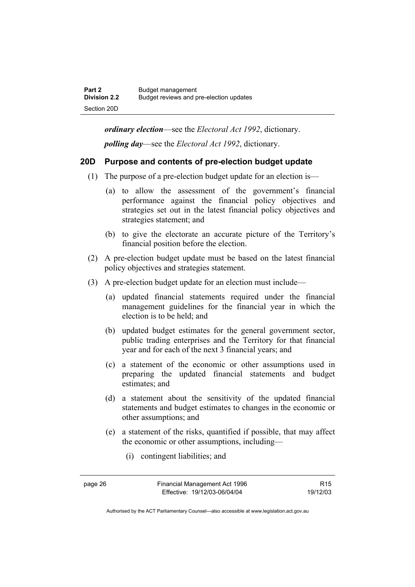*ordinary election*—see the *Electoral Act 1992*, dictionary. *polling day*—see the *Electoral Act 1992*, dictionary.

#### **20D Purpose and contents of pre-election budget update**

- (1) The purpose of a pre-election budget update for an election is—
	- (a) to allow the assessment of the government's financial performance against the financial policy objectives and strategies set out in the latest financial policy objectives and strategies statement; and
	- (b) to give the electorate an accurate picture of the Territory's financial position before the election.
- (2) A pre-election budget update must be based on the latest financial policy objectives and strategies statement.
- (3) A pre-election budget update for an election must include—
	- (a) updated financial statements required under the financial management guidelines for the financial year in which the election is to be held; and
	- (b) updated budget estimates for the general government sector, public trading enterprises and the Territory for that financial year and for each of the next 3 financial years; and
	- (c) a statement of the economic or other assumptions used in preparing the updated financial statements and budget estimates; and
	- (d) a statement about the sensitivity of the updated financial statements and budget estimates to changes in the economic or other assumptions; and
	- (e) a statement of the risks, quantified if possible, that may affect the economic or other assumptions, including—
		- (i) contingent liabilities; and

page 26 Financial Management Act 1996 Effective: 19/12/03-06/04/04

R15 19/12/03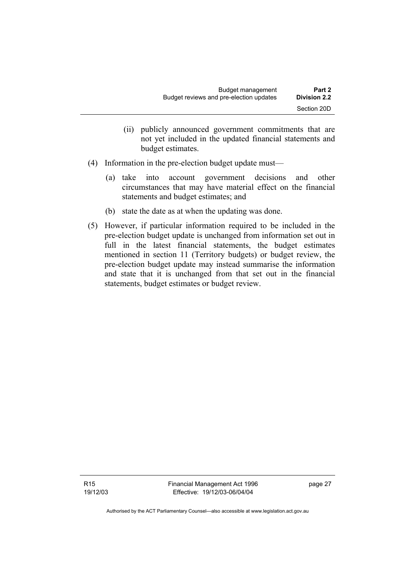- (ii) publicly announced government commitments that are not yet included in the updated financial statements and budget estimates.
- (4) Information in the pre-election budget update must—
	- (a) take into account government decisions and other circumstances that may have material effect on the financial statements and budget estimates; and
	- (b) state the date as at when the updating was done.
- (5) However, if particular information required to be included in the pre-election budget update is unchanged from information set out in full in the latest financial statements, the budget estimates mentioned in section 11 (Territory budgets) or budget review, the pre-election budget update may instead summarise the information and state that it is unchanged from that set out in the financial statements, budget estimates or budget review.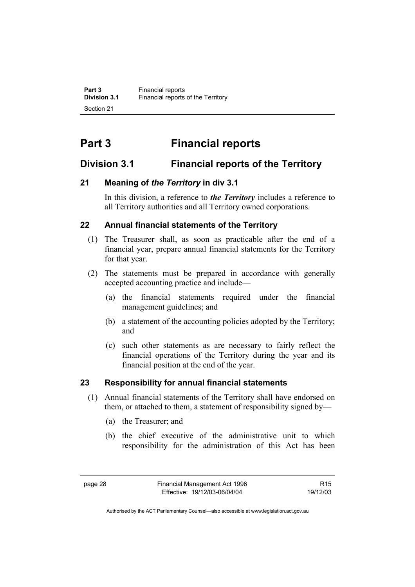# **Part 3 Financial reports**

## **Division 3.1 Financial reports of the Territory**

## **21 Meaning of** *the Territory* **in div 3.1**

In this division, a reference to *the Territory* includes a reference to all Territory authorities and all Territory owned corporations.

## **22 Annual financial statements of the Territory**

- (1) The Treasurer shall, as soon as practicable after the end of a financial year, prepare annual financial statements for the Territory for that year.
- (2) The statements must be prepared in accordance with generally accepted accounting practice and include—
	- (a) the financial statements required under the financial management guidelines; and
	- (b) a statement of the accounting policies adopted by the Territory; and
	- (c) such other statements as are necessary to fairly reflect the financial operations of the Territory during the year and its financial position at the end of the year.

## **23 Responsibility for annual financial statements**

- (1) Annual financial statements of the Territory shall have endorsed on them, or attached to them, a statement of responsibility signed by—
	- (a) the Treasurer; and
	- (b) the chief executive of the administrative unit to which responsibility for the administration of this Act has been

R15 19/12/03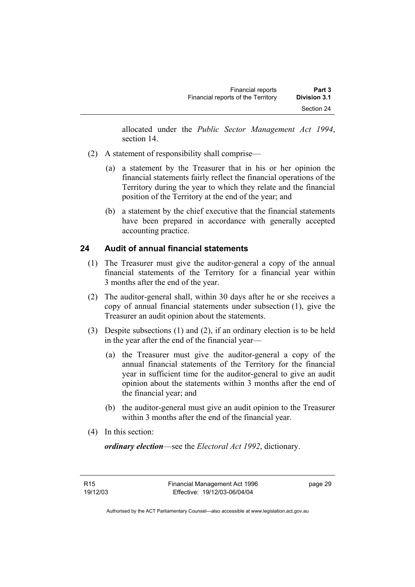allocated under the *Public Sector Management Act 1994*, section 14.

- (2) A statement of responsibility shall comprise—
	- (a) a statement by the Treasurer that in his or her opinion the financial statements fairly reflect the financial operations of the Territory during the year to which they relate and the financial position of the Territory at the end of the year; and
	- (b) a statement by the chief executive that the financial statements have been prepared in accordance with generally accepted accounting practice.

# **24 Audit of annual financial statements**

- (1) The Treasurer must give the auditor-general a copy of the annual financial statements of the Territory for a financial year within 3 months after the end of the year.
- (2) The auditor-general shall, within 30 days after he or she receives a copy of annual financial statements under subsection (1), give the Treasurer an audit opinion about the statements.
- (3) Despite subsections (1) and (2), if an ordinary election is to be held in the year after the end of the financial year—
	- (a) the Treasurer must give the auditor-general a copy of the annual financial statements of the Territory for the financial year in sufficient time for the auditor-general to give an audit opinion about the statements within 3 months after the end of the financial year; and
	- (b) the auditor-general must give an audit opinion to the Treasurer within 3 months after the end of the financial year.
- (4) In this section:

*ordinary election*—see the *Electoral Act 1992*, dictionary.

R15 19/12/03 page 29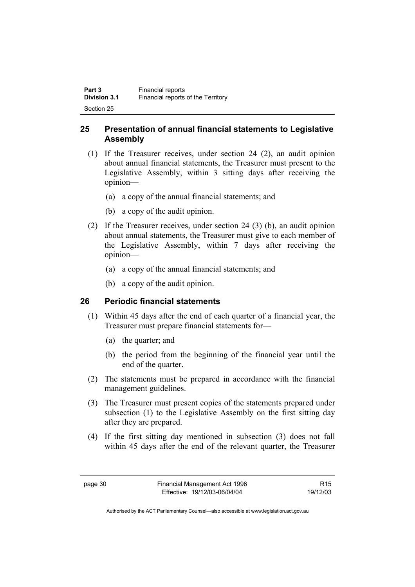| Part 3              | Financial reports                  |
|---------------------|------------------------------------|
| <b>Division 3.1</b> | Financial reports of the Territory |
| Section 25          |                                    |

# **25 Presentation of annual financial statements to Legislative Assembly**

- (1) If the Treasurer receives, under section 24 (2), an audit opinion about annual financial statements, the Treasurer must present to the Legislative Assembly, within 3 sitting days after receiving the opinion—
	- (a) a copy of the annual financial statements; and
	- (b) a copy of the audit opinion.
- (2) If the Treasurer receives, under section 24 (3) (b), an audit opinion about annual statements, the Treasurer must give to each member of the Legislative Assembly, within 7 days after receiving the opinion—
	- (a) a copy of the annual financial statements; and
	- (b) a copy of the audit opinion.

# **26 Periodic financial statements**

- (1) Within 45 days after the end of each quarter of a financial year, the Treasurer must prepare financial statements for—
	- (a) the quarter; and
	- (b) the period from the beginning of the financial year until the end of the quarter.
- (2) The statements must be prepared in accordance with the financial management guidelines.
- (3) The Treasurer must present copies of the statements prepared under subsection (1) to the Legislative Assembly on the first sitting day after they are prepared.
- (4) If the first sitting day mentioned in subsection (3) does not fall within 45 days after the end of the relevant quarter, the Treasurer

R15 19/12/03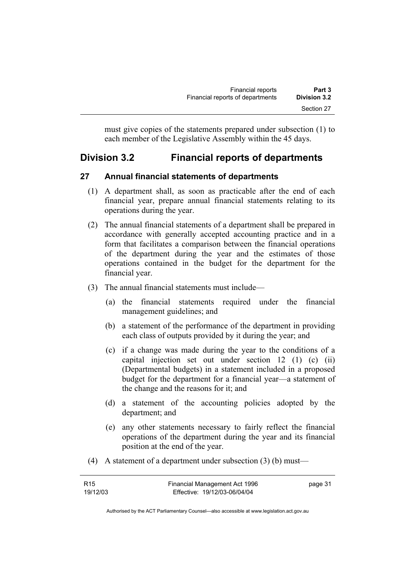must give copies of the statements prepared under subsection (1) to each member of the Legislative Assembly within the 45 days.

# **Division 3.2 Financial reports of departments**

# **27 Annual financial statements of departments**

- (1) A department shall, as soon as practicable after the end of each financial year, prepare annual financial statements relating to its operations during the year.
- (2) The annual financial statements of a department shall be prepared in accordance with generally accepted accounting practice and in a form that facilitates a comparison between the financial operations of the department during the year and the estimates of those operations contained in the budget for the department for the financial year.
- (3) The annual financial statements must include—
	- (a) the financial statements required under the financial management guidelines; and
	- (b) a statement of the performance of the department in providing each class of outputs provided by it during the year; and
	- (c) if a change was made during the year to the conditions of a capital injection set out under section 12 (1) (c) (ii) (Departmental budgets) in a statement included in a proposed budget for the department for a financial year—a statement of the change and the reasons for it; and
	- (d) a statement of the accounting policies adopted by the department; and
	- (e) any other statements necessary to fairly reflect the financial operations of the department during the year and its financial position at the end of the year.
- (4) A statement of a department under subsection (3) (b) must—

| R15      | Financial Management Act 1996 | page 31 |
|----------|-------------------------------|---------|
| 19/12/03 | Effective: 19/12/03-06/04/04  |         |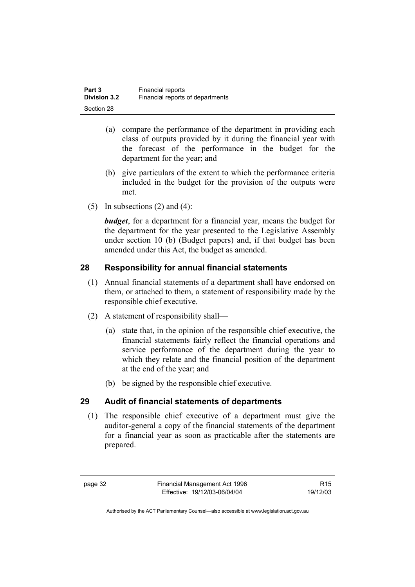| Part 3              | <b>Financial reports</b>         |
|---------------------|----------------------------------|
| <b>Division 3.2</b> | Financial reports of departments |
| Section 28          |                                  |

- (a) compare the performance of the department in providing each class of outputs provided by it during the financial year with the forecast of the performance in the budget for the department for the year; and
- (b) give particulars of the extent to which the performance criteria included in the budget for the provision of the outputs were met.
- (5) In subsections  $(2)$  and  $(4)$ :

*budget*, for a department for a financial year, means the budget for the department for the year presented to the Legislative Assembly under section 10 (b) (Budget papers) and, if that budget has been amended under this Act, the budget as amended.

# **28 Responsibility for annual financial statements**

- (1) Annual financial statements of a department shall have endorsed on them, or attached to them, a statement of responsibility made by the responsible chief executive.
- (2) A statement of responsibility shall—
	- (a) state that, in the opinion of the responsible chief executive, the financial statements fairly reflect the financial operations and service performance of the department during the year to which they relate and the financial position of the department at the end of the year; and
	- (b) be signed by the responsible chief executive.

# **29 Audit of financial statements of departments**

 (1) The responsible chief executive of a department must give the auditor-general a copy of the financial statements of the department for a financial year as soon as practicable after the statements are prepared.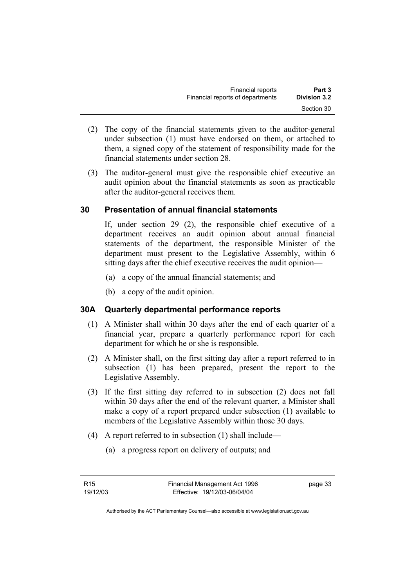| <b>Financial reports</b>         | Part 3       |
|----------------------------------|--------------|
| Financial reports of departments | Division 3.2 |
|                                  | Section 30   |

- (2) The copy of the financial statements given to the auditor-general under subsection (1) must have endorsed on them, or attached to them, a signed copy of the statement of responsibility made for the financial statements under section 28.
- (3) The auditor-general must give the responsible chief executive an audit opinion about the financial statements as soon as practicable after the auditor-general receives them.

# **30 Presentation of annual financial statements**

If, under section 29 (2), the responsible chief executive of a department receives an audit opinion about annual financial statements of the department, the responsible Minister of the department must present to the Legislative Assembly, within 6 sitting days after the chief executive receives the audit opinion—

- (a) a copy of the annual financial statements; and
- (b) a copy of the audit opinion.

### **30A Quarterly departmental performance reports**

- (1) A Minister shall within 30 days after the end of each quarter of a financial year, prepare a quarterly performance report for each department for which he or she is responsible.
- (2) A Minister shall, on the first sitting day after a report referred to in subsection (1) has been prepared, present the report to the Legislative Assembly.
- (3) If the first sitting day referred to in subsection (2) does not fall within 30 days after the end of the relevant quarter, a Minister shall make a copy of a report prepared under subsection (1) available to members of the Legislative Assembly within those 30 days.
- (4) A report referred to in subsection (1) shall include—
	- (a) a progress report on delivery of outputs; and

page 33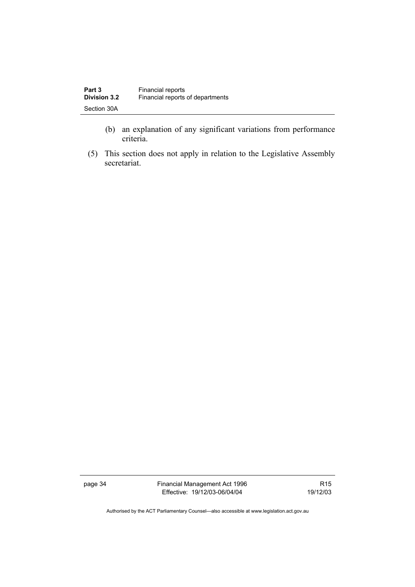| Part 3              | <b>Financial reports</b>         |
|---------------------|----------------------------------|
| <b>Division 3.2</b> | Financial reports of departments |
| Section 30A         |                                  |

- (b) an explanation of any significant variations from performance criteria.
- (5) This section does not apply in relation to the Legislative Assembly secretariat.

page 34 Financial Management Act 1996 Effective: 19/12/03-06/04/04

R15 19/12/03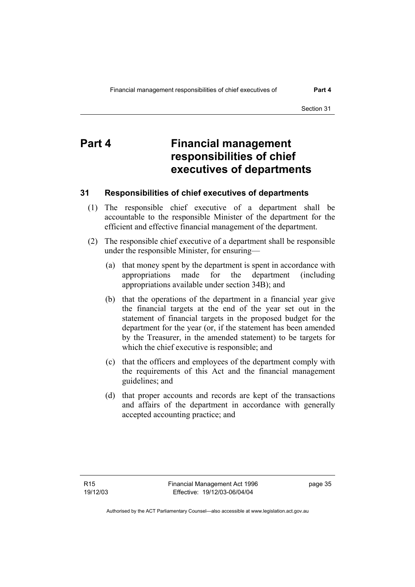# **Part 4 Financial management responsibilities of chief executives of departments**

### **31 Responsibilities of chief executives of departments**

- (1) The responsible chief executive of a department shall be accountable to the responsible Minister of the department for the efficient and effective financial management of the department.
- (2) The responsible chief executive of a department shall be responsible under the responsible Minister, for ensuring—
	- (a) that money spent by the department is spent in accordance with appropriations made for the department (including appropriations available under section 34B); and
	- (b) that the operations of the department in a financial year give the financial targets at the end of the year set out in the statement of financial targets in the proposed budget for the department for the year (or, if the statement has been amended by the Treasurer, in the amended statement) to be targets for which the chief executive is responsible; and
	- (c) that the officers and employees of the department comply with the requirements of this Act and the financial management guidelines; and
	- (d) that proper accounts and records are kept of the transactions and affairs of the department in accordance with generally accepted accounting practice; and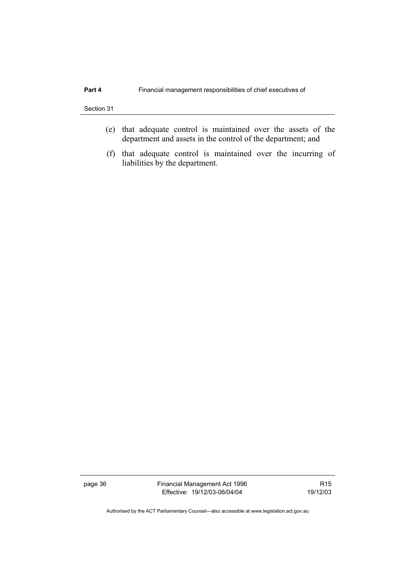- (e) that adequate control is maintained over the assets of the department and assets in the control of the department; and
- (f) that adequate control is maintained over the incurring of liabilities by the department.

page 36 Financial Management Act 1996 Effective: 19/12/03-06/04/04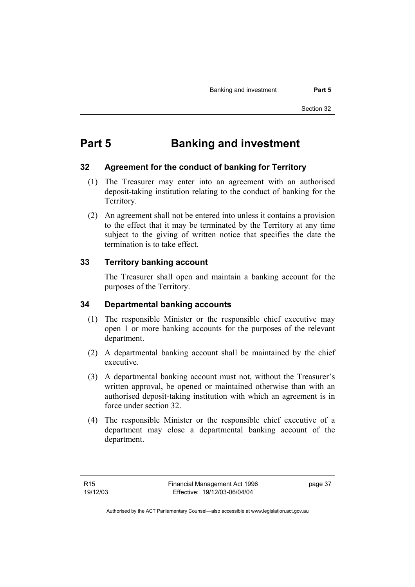# **Part 5 Banking and investment**

#### **32 Agreement for the conduct of banking for Territory**

- (1) The Treasurer may enter into an agreement with an authorised deposit-taking institution relating to the conduct of banking for the Territory.
- (2) An agreement shall not be entered into unless it contains a provision to the effect that it may be terminated by the Territory at any time subject to the giving of written notice that specifies the date the termination is to take effect.

### **33 Territory banking account**

The Treasurer shall open and maintain a banking account for the purposes of the Territory.

#### **34 Departmental banking accounts**

- (1) The responsible Minister or the responsible chief executive may open 1 or more banking accounts for the purposes of the relevant department.
- (2) A departmental banking account shall be maintained by the chief executive.
- (3) A departmental banking account must not, without the Treasurer's written approval, be opened or maintained otherwise than with an authorised deposit-taking institution with which an agreement is in force under section 32.
- (4) The responsible Minister or the responsible chief executive of a department may close a departmental banking account of the department.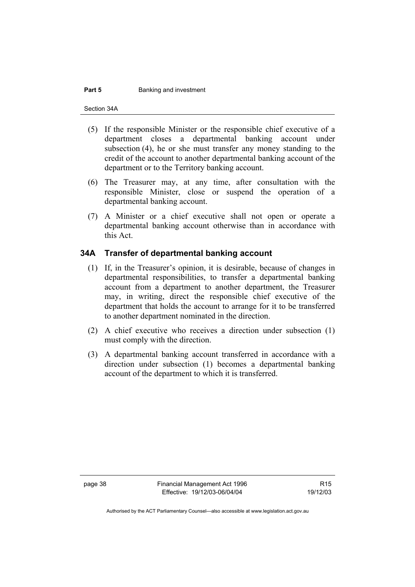#### **Part 5 Banking and investment**

Section 34A

- (5) If the responsible Minister or the responsible chief executive of a department closes a departmental banking account under subsection (4), he or she must transfer any money standing to the credit of the account to another departmental banking account of the department or to the Territory banking account.
- (6) The Treasurer may, at any time, after consultation with the responsible Minister, close or suspend the operation of a departmental banking account.
- (7) A Minister or a chief executive shall not open or operate a departmental banking account otherwise than in accordance with this Act.

### **34A Transfer of departmental banking account**

- (1) If, in the Treasurer's opinion, it is desirable, because of changes in departmental responsibilities, to transfer a departmental banking account from a department to another department, the Treasurer may, in writing, direct the responsible chief executive of the department that holds the account to arrange for it to be transferred to another department nominated in the direction.
- (2) A chief executive who receives a direction under subsection (1) must comply with the direction.
- (3) A departmental banking account transferred in accordance with a direction under subsection (1) becomes a departmental banking account of the department to which it is transferred.

page 38 Financial Management Act 1996 Effective: 19/12/03-06/04/04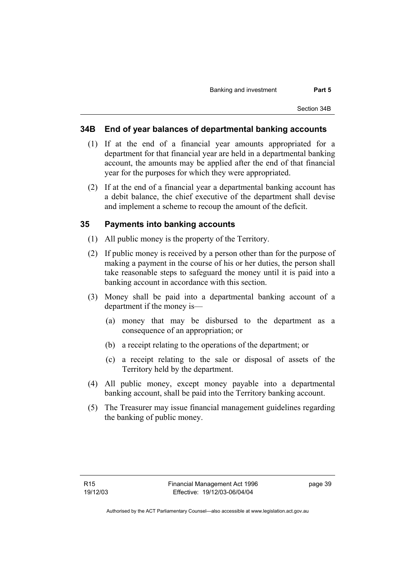# **34B End of year balances of departmental banking accounts**

- (1) If at the end of a financial year amounts appropriated for a department for that financial year are held in a departmental banking account, the amounts may be applied after the end of that financial year for the purposes for which they were appropriated.
- (2) If at the end of a financial year a departmental banking account has a debit balance, the chief executive of the department shall devise and implement a scheme to recoup the amount of the deficit.

### **35 Payments into banking accounts**

- (1) All public money is the property of the Territory.
- (2) If public money is received by a person other than for the purpose of making a payment in the course of his or her duties, the person shall take reasonable steps to safeguard the money until it is paid into a banking account in accordance with this section.
- (3) Money shall be paid into a departmental banking account of a department if the money is—
	- (a) money that may be disbursed to the department as a consequence of an appropriation; or
	- (b) a receipt relating to the operations of the department; or
	- (c) a receipt relating to the sale or disposal of assets of the Territory held by the department.
- (4) All public money, except money payable into a departmental banking account, shall be paid into the Territory banking account.
- (5) The Treasurer may issue financial management guidelines regarding the banking of public money.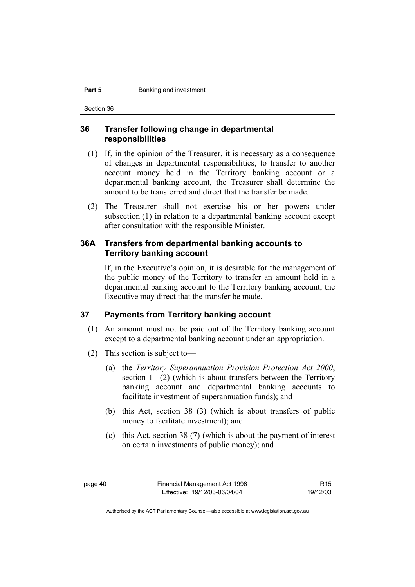#### **Part 5 Banking and investment**

Section 36

# **36 Transfer following change in departmental responsibilities**

- (1) If, in the opinion of the Treasurer, it is necessary as a consequence of changes in departmental responsibilities, to transfer to another account money held in the Territory banking account or a departmental banking account, the Treasurer shall determine the amount to be transferred and direct that the transfer be made.
- (2) The Treasurer shall not exercise his or her powers under subsection (1) in relation to a departmental banking account except after consultation with the responsible Minister.

## **36A Transfers from departmental banking accounts to Territory banking account**

If, in the Executive's opinion, it is desirable for the management of the public money of the Territory to transfer an amount held in a departmental banking account to the Territory banking account, the Executive may direct that the transfer be made.

### **37 Payments from Territory banking account**

- (1) An amount must not be paid out of the Territory banking account except to a departmental banking account under an appropriation.
- (2) This section is subject to—
	- (a) the *Territory Superannuation Provision Protection Act 2000*, section 11 (2) (which is about transfers between the Territory banking account and departmental banking accounts to facilitate investment of superannuation funds); and
	- (b) this Act, section 38 (3) (which is about transfers of public money to facilitate investment); and
	- (c) this Act, section 38 (7) (which is about the payment of interest on certain investments of public money); and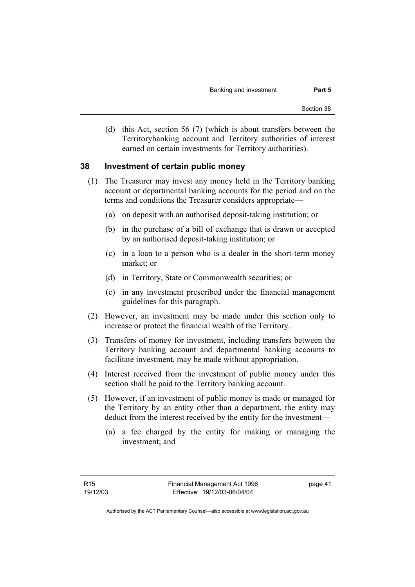(d) this Act, section 56 (7) (which is about transfers between the Territorybanking account and Territory authorities of interest earned on certain investments for Territory authorities).

#### **38 Investment of certain public money**

- (1) The Treasurer may invest any money held in the Territory banking account or departmental banking accounts for the period and on the terms and conditions the Treasurer considers appropriate—
	- (a) on deposit with an authorised deposit-taking institution; or
	- (b) in the purchase of a bill of exchange that is drawn or accepted by an authorised deposit-taking institution; or
	- (c) in a loan to a person who is a dealer in the short-term money market; or
	- (d) in Territory, State or Commonwealth securities; or
	- (e) in any investment prescribed under the financial management guidelines for this paragraph.
- (2) However, an investment may be made under this section only to increase or protect the financial wealth of the Territory.
- (3) Transfers of money for investment, including transfers between the Territory banking account and departmental banking accounts to facilitate investment, may be made without appropriation.
- (4) Interest received from the investment of public money under this section shall be paid to the Territory banking account.
- (5) However, if an investment of public money is made or managed for the Territory by an entity other than a department, the entity may deduct from the interest received by the entity for the investment—
	- (a) a fee charged by the entity for making or managing the investment; and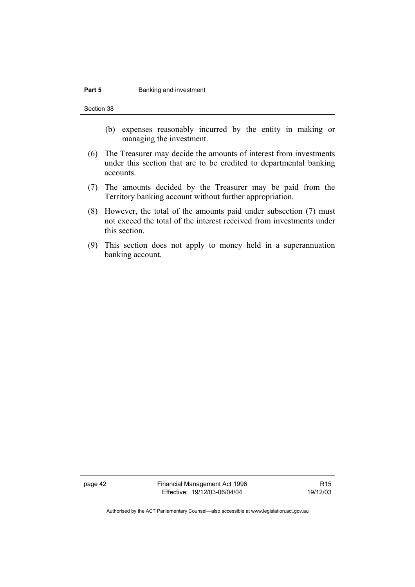- (b) expenses reasonably incurred by the entity in making or managing the investment.
- (6) The Treasurer may decide the amounts of interest from investments under this section that are to be credited to departmental banking accounts.
- (7) The amounts decided by the Treasurer may be paid from the Territory banking account without further appropriation.
- (8) However, the total of the amounts paid under subsection (7) must not exceed the total of the interest received from investments under this section.
- (9) This section does not apply to money held in a superannuation banking account.

page 42 Financial Management Act 1996 Effective: 19/12/03-06/04/04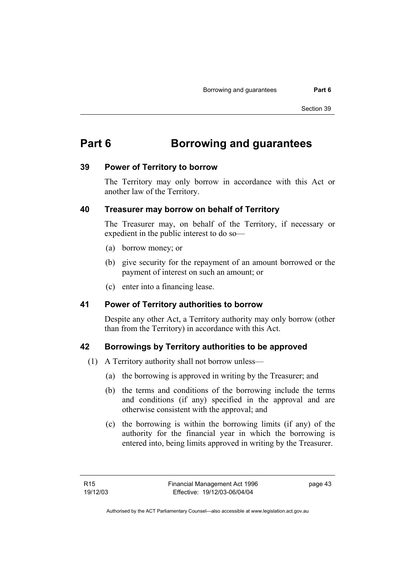# **Part 6 Borrowing and guarantees**

#### **39 Power of Territory to borrow**

The Territory may only borrow in accordance with this Act or another law of the Territory.

### **40 Treasurer may borrow on behalf of Territory**

The Treasurer may, on behalf of the Territory, if necessary or expedient in the public interest to do so—

- (a) borrow money; or
- (b) give security for the repayment of an amount borrowed or the payment of interest on such an amount; or
- (c) enter into a financing lease.

### **41 Power of Territory authorities to borrow**

Despite any other Act, a Territory authority may only borrow (other than from the Territory) in accordance with this Act.

### **42 Borrowings by Territory authorities to be approved**

- (1) A Territory authority shall not borrow unless—
	- (a) the borrowing is approved in writing by the Treasurer; and
	- (b) the terms and conditions of the borrowing include the terms and conditions (if any) specified in the approval and are otherwise consistent with the approval; and
	- (c) the borrowing is within the borrowing limits (if any) of the authority for the financial year in which the borrowing is entered into, being limits approved in writing by the Treasurer.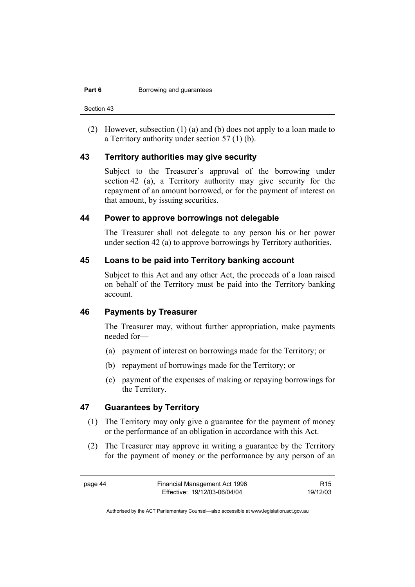Section 43

 (2) However, subsection (1) (a) and (b) does not apply to a loan made to a Territory authority under section 57 (1) (b).

#### **43 Territory authorities may give security**

Subject to the Treasurer's approval of the borrowing under section 42 (a), a Territory authority may give security for the repayment of an amount borrowed, or for the payment of interest on that amount, by issuing securities.

#### **44 Power to approve borrowings not delegable**

The Treasurer shall not delegate to any person his or her power under section 42 (a) to approve borrowings by Territory authorities.

#### **45 Loans to be paid into Territory banking account**

Subject to this Act and any other Act, the proceeds of a loan raised on behalf of the Territory must be paid into the Territory banking account.

# **46 Payments by Treasurer**

The Treasurer may, without further appropriation, make payments needed for—

- (a) payment of interest on borrowings made for the Territory; or
- (b) repayment of borrowings made for the Territory; or
- (c) payment of the expenses of making or repaying borrowings for the Territory.

# **47 Guarantees by Territory**

- (1) The Territory may only give a guarantee for the payment of money or the performance of an obligation in accordance with this Act.
- (2) The Treasurer may approve in writing a guarantee by the Territory for the payment of money or the performance by any person of an

R15 19/12/03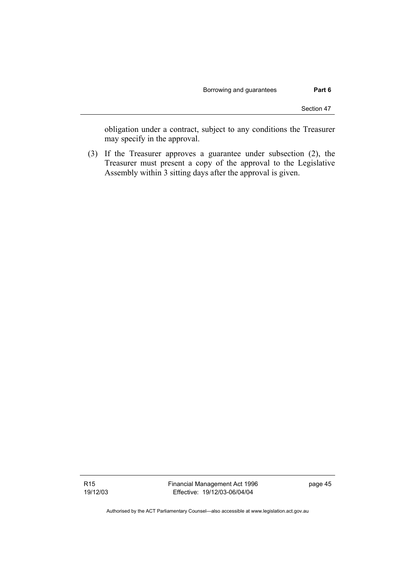obligation under a contract, subject to any conditions the Treasurer may specify in the approval.

 (3) If the Treasurer approves a guarantee under subsection (2), the Treasurer must present a copy of the approval to the Legislative Assembly within 3 sitting days after the approval is given.

Financial Management Act 1996 Effective: 19/12/03-06/04/04

page 45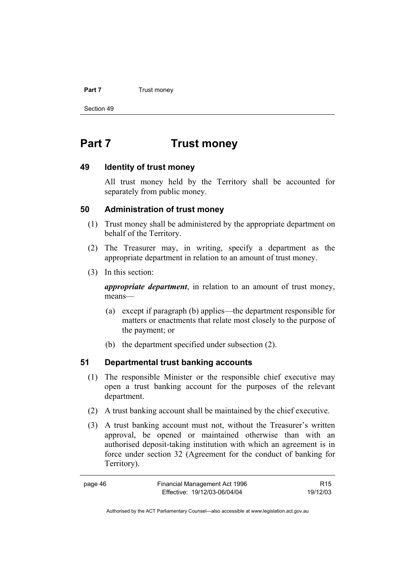#### **Part 7** Trust money

Section 49

# **Part 7 Trust money**

#### **49 Identity of trust money**

All trust money held by the Territory shall be accounted for separately from public money.

### **50 Administration of trust money**

- (1) Trust money shall be administered by the appropriate department on behalf of the Territory.
- (2) The Treasurer may, in writing, specify a department as the appropriate department in relation to an amount of trust money.
- (3) In this section:

*appropriate department*, in relation to an amount of trust money, means—

- (a) except if paragraph (b) applies—the department responsible for matters or enactments that relate most closely to the purpose of the payment; or
- (b) the department specified under subsection (2).

# **51 Departmental trust banking accounts**

- (1) The responsible Minister or the responsible chief executive may open a trust banking account for the purposes of the relevant department.
- (2) A trust banking account shall be maintained by the chief executive.
- (3) A trust banking account must not, without the Treasurer's written approval, be opened or maintained otherwise than with an authorised deposit-taking institution with which an agreement is in force under section 32 (Agreement for the conduct of banking for Territory).

| page 46 | Financial Management Act 1996 | R <sub>15</sub> |
|---------|-------------------------------|-----------------|
|         | Effective: 19/12/03-06/04/04  | 19/12/03        |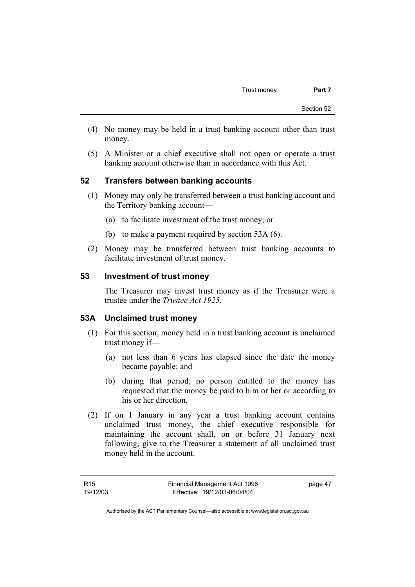- (4) No money may be held in a trust banking account other than trust money.
- (5) A Minister or a chief executive shall not open or operate a trust banking account otherwise than in accordance with this Act.

# **52 Transfers between banking accounts**

- (1) Money may only be transferred between a trust banking account and the Territory banking account—
	- (a) to facilitate investment of the trust money; or
	- (b) to make a payment required by section 53A (6).
- (2) Money may be transferred between trust banking accounts to facilitate investment of trust money.

### **53 Investment of trust money**

The Treasurer may invest trust money as if the Treasurer were a trustee under the *Trustee Act 1925.*

### **53A Unclaimed trust money**

- (1) For this section, money held in a trust banking account is unclaimed trust money if—
	- (a) not less than 6 years has elapsed since the date the money became payable; and
	- (b) during that period, no person entitled to the money has requested that the money be paid to him or her or according to his or her direction.
- (2) If on 1 January in any year a trust banking account contains unclaimed trust money, the chief executive responsible for maintaining the account shall, on or before 31 January next following, give to the Treasurer a statement of all unclaimed trust money held in the account.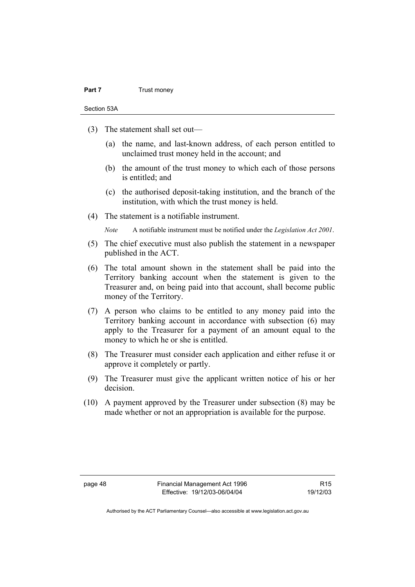#### **Part 7** Trust money

Section 53A

- (3) The statement shall set out—
	- (a) the name, and last-known address, of each person entitled to unclaimed trust money held in the account; and
	- (b) the amount of the trust money to which each of those persons is entitled; and
	- (c) the authorised deposit-taking institution, and the branch of the institution, with which the trust money is held.
- (4) The statement is a notifiable instrument.

*Note* A notifiable instrument must be notified under the *Legislation Act 2001*.

- (5) The chief executive must also publish the statement in a newspaper published in the ACT.
- (6) The total amount shown in the statement shall be paid into the Territory banking account when the statement is given to the Treasurer and, on being paid into that account, shall become public money of the Territory.
- (7) A person who claims to be entitled to any money paid into the Territory banking account in accordance with subsection (6) may apply to the Treasurer for a payment of an amount equal to the money to which he or she is entitled.
- (8) The Treasurer must consider each application and either refuse it or approve it completely or partly.
- (9) The Treasurer must give the applicant written notice of his or her decision.
- (10) A payment approved by the Treasurer under subsection (8) may be made whether or not an appropriation is available for the purpose.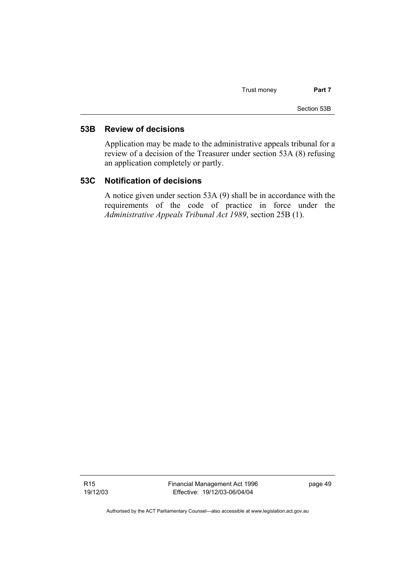Trust money **Part 7** 

Section 53B

# **53B Review of decisions**

Application may be made to the administrative appeals tribunal for a review of a decision of the Treasurer under section 53A (8) refusing an application completely or partly.

## **53C Notification of decisions**

A notice given under section 53A (9) shall be in accordance with the requirements of the code of practice in force under the *Administrative Appeals Tribunal Act 1989*, section 25B (1).

R15 19/12/03 Financial Management Act 1996 Effective: 19/12/03-06/04/04

page 49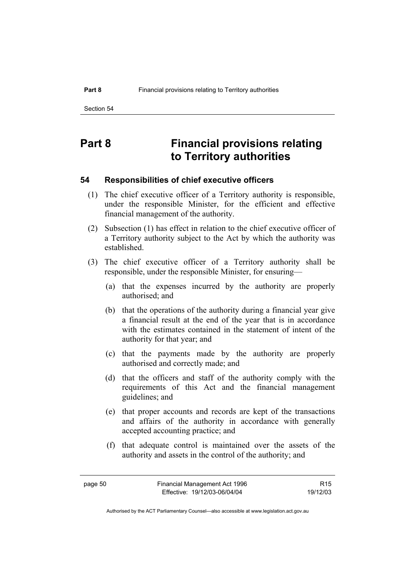# **Part 8 Financial provisions relating to Territory authorities**

### **54 Responsibilities of chief executive officers**

- (1) The chief executive officer of a Territory authority is responsible, under the responsible Minister, for the efficient and effective financial management of the authority.
- (2) Subsection (1) has effect in relation to the chief executive officer of a Territory authority subject to the Act by which the authority was established.
- (3) The chief executive officer of a Territory authority shall be responsible, under the responsible Minister, for ensuring—
	- (a) that the expenses incurred by the authority are properly authorised; and
	- (b) that the operations of the authority during a financial year give a financial result at the end of the year that is in accordance with the estimates contained in the statement of intent of the authority for that year; and
	- (c) that the payments made by the authority are properly authorised and correctly made; and
	- (d) that the officers and staff of the authority comply with the requirements of this Act and the financial management guidelines; and
	- (e) that proper accounts and records are kept of the transactions and affairs of the authority in accordance with generally accepted accounting practice; and
	- (f) that adequate control is maintained over the assets of the authority and assets in the control of the authority; and

R15 19/12/03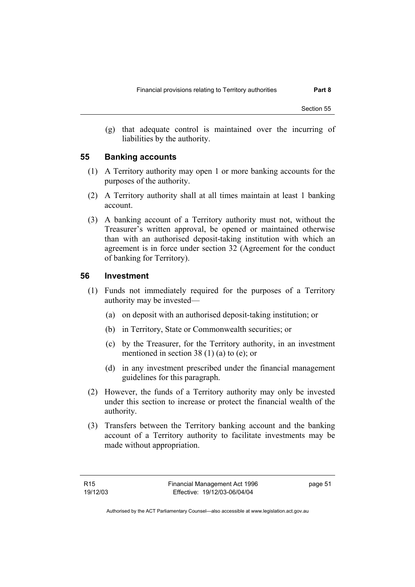Section 55

 (g) that adequate control is maintained over the incurring of liabilities by the authority.

### **55 Banking accounts**

- (1) A Territory authority may open 1 or more banking accounts for the purposes of the authority.
- (2) A Territory authority shall at all times maintain at least 1 banking account.
- (3) A banking account of a Territory authority must not, without the Treasurer's written approval, be opened or maintained otherwise than with an authorised deposit-taking institution with which an agreement is in force under section 32 (Agreement for the conduct of banking for Territory).

#### **56 Investment**

- (1) Funds not immediately required for the purposes of a Territory authority may be invested—
	- (a) on deposit with an authorised deposit-taking institution; or
	- (b) in Territory, State or Commonwealth securities; or
	- (c) by the Treasurer, for the Territory authority, in an investment mentioned in section 38 (1) (a) to (e); or
	- (d) in any investment prescribed under the financial management guidelines for this paragraph.
- (2) However, the funds of a Territory authority may only be invested under this section to increase or protect the financial wealth of the authority.
- (3) Transfers between the Territory banking account and the banking account of a Territory authority to facilitate investments may be made without appropriation.

Authorised by the ACT Parliamentary Counsel—also accessible at www.legislation.act.gov.au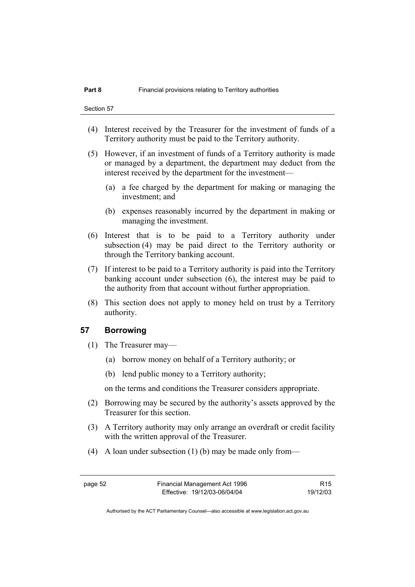- (4) Interest received by the Treasurer for the investment of funds of a Territory authority must be paid to the Territory authority.
- (5) However, if an investment of funds of a Territory authority is made or managed by a department, the department may deduct from the interest received by the department for the investment—
	- (a) a fee charged by the department for making or managing the investment; and
	- (b) expenses reasonably incurred by the department in making or managing the investment.
- (6) Interest that is to be paid to a Territory authority under subsection (4) may be paid direct to the Territory authority or through the Territory banking account.
- (7) If interest to be paid to a Territory authority is paid into the Territory banking account under subsection (6), the interest may be paid to the authority from that account without further appropriation.
- (8) This section does not apply to money held on trust by a Territory authority.

#### **57 Borrowing**

- (1) The Treasurer may—
	- (a) borrow money on behalf of a Territory authority; or
	- (b) lend public money to a Territory authority;

on the terms and conditions the Treasurer considers appropriate.

- (2) Borrowing may be secured by the authority's assets approved by the Treasurer for this section.
- (3) A Territory authority may only arrange an overdraft or credit facility with the written approval of the Treasurer.
- (4) A loan under subsection (1) (b) may be made only from—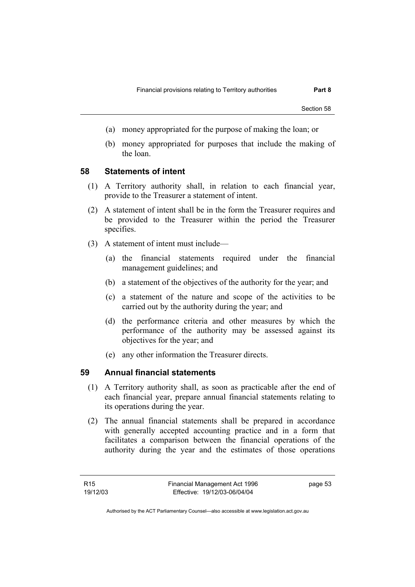Section 58

- (a) money appropriated for the purpose of making the loan; or
- (b) money appropriated for purposes that include the making of the loan.

#### **58 Statements of intent**

- (1) A Territory authority shall, in relation to each financial year, provide to the Treasurer a statement of intent.
- (2) A statement of intent shall be in the form the Treasurer requires and be provided to the Treasurer within the period the Treasurer specifies.
- (3) A statement of intent must include—
	- (a) the financial statements required under the financial management guidelines; and
	- (b) a statement of the objectives of the authority for the year; and
	- (c) a statement of the nature and scope of the activities to be carried out by the authority during the year; and
	- (d) the performance criteria and other measures by which the performance of the authority may be assessed against its objectives for the year; and
	- (e) any other information the Treasurer directs.

#### **59 Annual financial statements**

- (1) A Territory authority shall, as soon as practicable after the end of each financial year, prepare annual financial statements relating to its operations during the year.
- (2) The annual financial statements shall be prepared in accordance with generally accepted accounting practice and in a form that facilitates a comparison between the financial operations of the authority during the year and the estimates of those operations

R15 19/12/03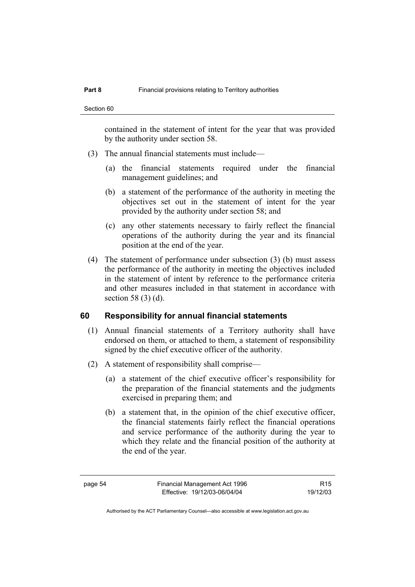contained in the statement of intent for the year that was provided by the authority under section 58.

- (3) The annual financial statements must include—
	- (a) the financial statements required under the financial management guidelines; and
	- (b) a statement of the performance of the authority in meeting the objectives set out in the statement of intent for the year provided by the authority under section 58; and
	- (c) any other statements necessary to fairly reflect the financial operations of the authority during the year and its financial position at the end of the year.
- (4) The statement of performance under subsection (3) (b) must assess the performance of the authority in meeting the objectives included in the statement of intent by reference to the performance criteria and other measures included in that statement in accordance with section 58 (3) (d).

#### **60 Responsibility for annual financial statements**

- (1) Annual financial statements of a Territory authority shall have endorsed on them, or attached to them, a statement of responsibility signed by the chief executive officer of the authority.
- (2) A statement of responsibility shall comprise—
	- (a) a statement of the chief executive officer's responsibility for the preparation of the financial statements and the judgments exercised in preparing them; and
	- (b) a statement that, in the opinion of the chief executive officer, the financial statements fairly reflect the financial operations and service performance of the authority during the year to which they relate and the financial position of the authority at the end of the year.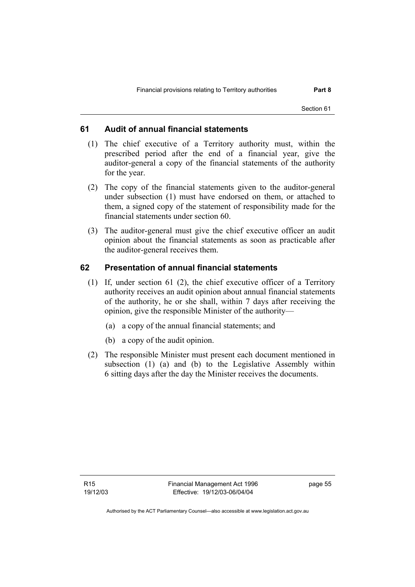## **61 Audit of annual financial statements**

- (1) The chief executive of a Territory authority must, within the prescribed period after the end of a financial year, give the auditor-general a copy of the financial statements of the authority for the year.
- (2) The copy of the financial statements given to the auditor-general under subsection (1) must have endorsed on them, or attached to them, a signed copy of the statement of responsibility made for the financial statements under section 60.
- (3) The auditor-general must give the chief executive officer an audit opinion about the financial statements as soon as practicable after the auditor-general receives them.

# **62 Presentation of annual financial statements**

- (1) If, under section 61 (2), the chief executive officer of a Territory authority receives an audit opinion about annual financial statements of the authority, he or she shall, within 7 days after receiving the opinion, give the responsible Minister of the authority—
	- (a) a copy of the annual financial statements; and
	- (b) a copy of the audit opinion.
- (2) The responsible Minister must present each document mentioned in subsection (1) (a) and (b) to the Legislative Assembly within 6 sitting days after the day the Minister receives the documents.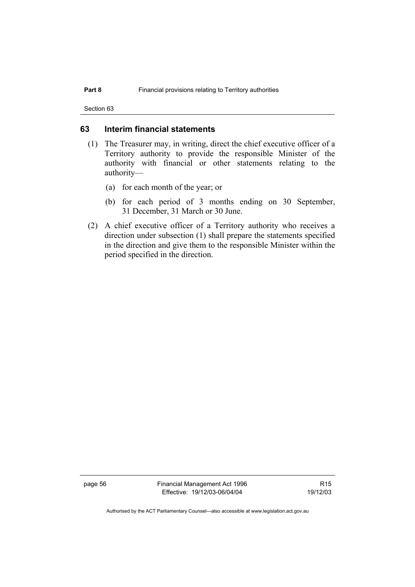Section 63

#### **63 Interim financial statements**

- (1) The Treasurer may, in writing, direct the chief executive officer of a Territory authority to provide the responsible Minister of the authority with financial or other statements relating to the authority—
	- (a) for each month of the year; or
	- (b) for each period of 3 months ending on 30 September, 31 December, 31 March or 30 June.
- (2) A chief executive officer of a Territory authority who receives a direction under subsection (1) shall prepare the statements specified in the direction and give them to the responsible Minister within the period specified in the direction.

page 56 Financial Management Act 1996 Effective: 19/12/03-06/04/04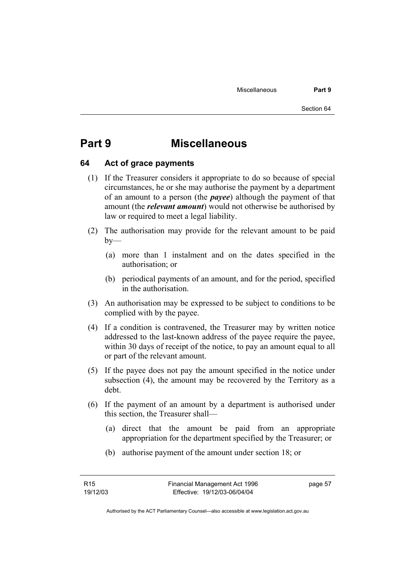# **Part 9 Miscellaneous**

#### **64 Act of grace payments**

- (1) If the Treasurer considers it appropriate to do so because of special circumstances, he or she may authorise the payment by a department of an amount to a person (the *payee*) although the payment of that amount (the *relevant amount*) would not otherwise be authorised by law or required to meet a legal liability.
- (2) The authorisation may provide for the relevant amount to be paid  $by-$ 
	- (a) more than 1 instalment and on the dates specified in the authorisation; or
	- (b) periodical payments of an amount, and for the period, specified in the authorisation.
- (3) An authorisation may be expressed to be subject to conditions to be complied with by the payee.
- (4) If a condition is contravened, the Treasurer may by written notice addressed to the last-known address of the payee require the payee, within 30 days of receipt of the notice, to pay an amount equal to all or part of the relevant amount.
- (5) If the payee does not pay the amount specified in the notice under subsection (4), the amount may be recovered by the Territory as a debt.
- (6) If the payment of an amount by a department is authorised under this section, the Treasurer shall—
	- (a) direct that the amount be paid from an appropriate appropriation for the department specified by the Treasurer; or
	- (b) authorise payment of the amount under section 18; or

Authorised by the ACT Parliamentary Counsel—also accessible at www.legislation.act.gov.au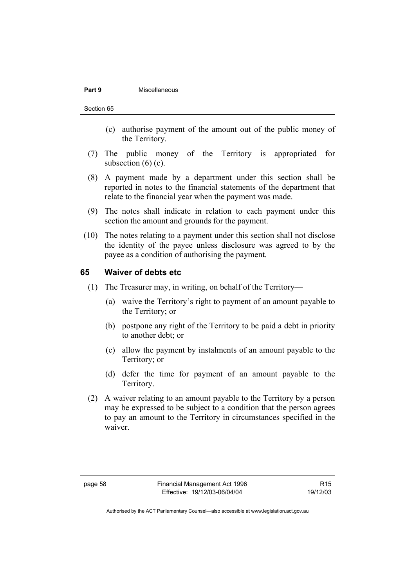#### **Part 9** Miscellaneous

- (c) authorise payment of the amount out of the public money of the Territory.
- (7) The public money of the Territory is appropriated for subsection  $(6)$  (c).
- (8) A payment made by a department under this section shall be reported in notes to the financial statements of the department that relate to the financial year when the payment was made.
- (9) The notes shall indicate in relation to each payment under this section the amount and grounds for the payment.
- (10) The notes relating to a payment under this section shall not disclose the identity of the payee unless disclosure was agreed to by the payee as a condition of authorising the payment.

#### **65 Waiver of debts etc**

- (1) The Treasurer may, in writing, on behalf of the Territory—
	- (a) waive the Territory's right to payment of an amount payable to the Territory; or
	- (b) postpone any right of the Territory to be paid a debt in priority to another debt; or
	- (c) allow the payment by instalments of an amount payable to the Territory; or
	- (d) defer the time for payment of an amount payable to the Territory.
- (2) A waiver relating to an amount payable to the Territory by a person may be expressed to be subject to a condition that the person agrees to pay an amount to the Territory in circumstances specified in the waiver.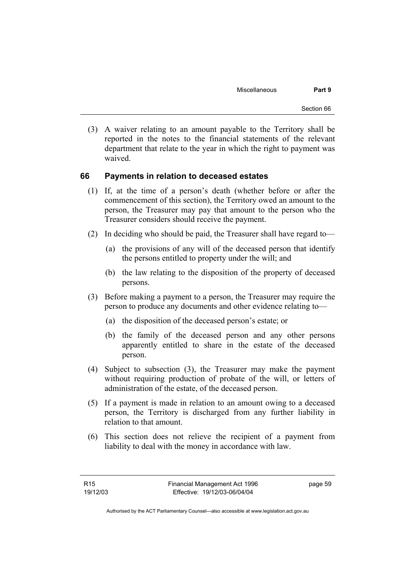(3) A waiver relating to an amount payable to the Territory shall be reported in the notes to the financial statements of the relevant department that relate to the year in which the right to payment was waived.

### **66 Payments in relation to deceased estates**

- (1) If, at the time of a person's death (whether before or after the commencement of this section), the Territory owed an amount to the person, the Treasurer may pay that amount to the person who the Treasurer considers should receive the payment.
- (2) In deciding who should be paid, the Treasurer shall have regard to—
	- (a) the provisions of any will of the deceased person that identify the persons entitled to property under the will; and
	- (b) the law relating to the disposition of the property of deceased persons.
- (3) Before making a payment to a person, the Treasurer may require the person to produce any documents and other evidence relating to—
	- (a) the disposition of the deceased person's estate; or
	- (b) the family of the deceased person and any other persons apparently entitled to share in the estate of the deceased person.
- (4) Subject to subsection (3), the Treasurer may make the payment without requiring production of probate of the will, or letters of administration of the estate, of the deceased person.
- (5) If a payment is made in relation to an amount owing to a deceased person, the Territory is discharged from any further liability in relation to that amount.
- (6) This section does not relieve the recipient of a payment from liability to deal with the money in accordance with law.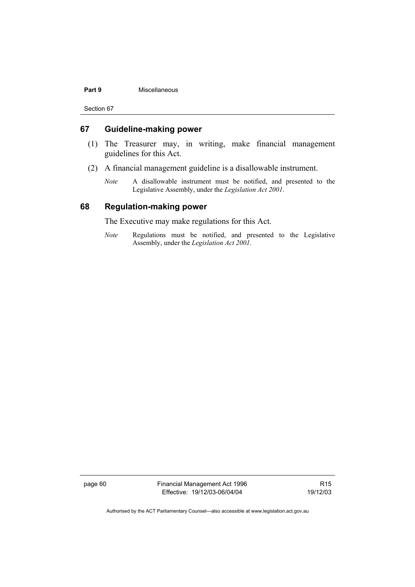#### **Part 9** Miscellaneous

Section 67

#### **67 Guideline-making power**

- (1) The Treasurer may, in writing, make financial management guidelines for this Act.
- (2) A financial management guideline is a disallowable instrument.
	- *Note* A disallowable instrument must be notified, and presented to the Legislative Assembly, under the *Legislation Act 2001*.

#### **68 Regulation-making power**

The Executive may make regulations for this Act.

*Note* Regulations must be notified, and presented to the Legislative Assembly, under the *Legislation Act 2001*.

page 60 Financial Management Act 1996 Effective: 19/12/03-06/04/04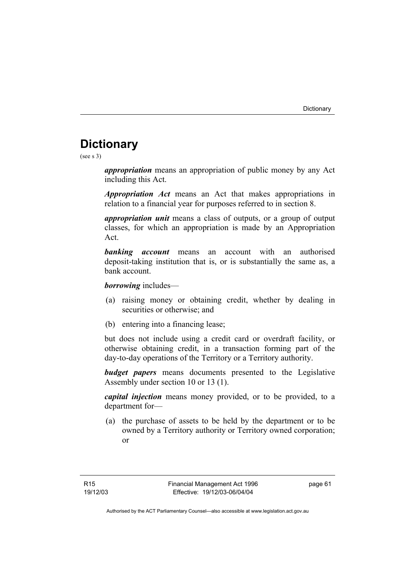# **Dictionary**

(see s 3)

*appropriation* means an appropriation of public money by any Act including this Act.

*Appropriation Act* means an Act that makes appropriations in relation to a financial year for purposes referred to in section 8.

*appropriation unit* means a class of outputs, or a group of output classes, for which an appropriation is made by an Appropriation Act.

*banking account* means an account with an authorised deposit-taking institution that is, or is substantially the same as, a bank account.

*borrowing* includes—

- (a) raising money or obtaining credit, whether by dealing in securities or otherwise; and
- (b) entering into a financing lease;

but does not include using a credit card or overdraft facility, or otherwise obtaining credit, in a transaction forming part of the day-to-day operations of the Territory or a Territory authority.

*budget papers* means documents presented to the Legislative Assembly under section 10 or 13 (1).

*capital injection* means money provided, or to be provided, to a department for—

 (a) the purchase of assets to be held by the department or to be owned by a Territory authority or Territory owned corporation; or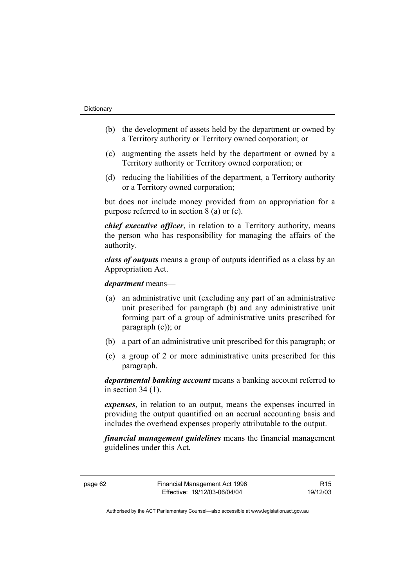- (b) the development of assets held by the department or owned by a Territory authority or Territory owned corporation; or
- (c) augmenting the assets held by the department or owned by a Territory authority or Territory owned corporation; or
- (d) reducing the liabilities of the department, a Territory authority or a Territory owned corporation;

but does not include money provided from an appropriation for a purpose referred to in section 8 (a) or (c).

*chief executive officer*, in relation to a Territory authority, means the person who has responsibility for managing the affairs of the authority.

*class of outputs* means a group of outputs identified as a class by an Appropriation Act.

*department* means—

- (a) an administrative unit (excluding any part of an administrative unit prescribed for paragraph (b) and any administrative unit forming part of a group of administrative units prescribed for paragraph (c)); or
- (b) a part of an administrative unit prescribed for this paragraph; or
- (c) a group of 2 or more administrative units prescribed for this paragraph.

*departmental banking account* means a banking account referred to in section  $34(1)$ .

*expenses*, in relation to an output, means the expenses incurred in providing the output quantified on an accrual accounting basis and includes the overhead expenses properly attributable to the output.

*financial management guidelines* means the financial management guidelines under this Act.

page 62 Financial Management Act 1996 Effective: 19/12/03-06/04/04

R15 19/12/03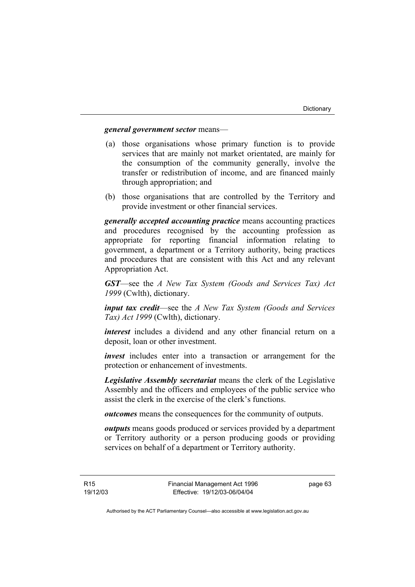#### *general government sector* means—

- (a) those organisations whose primary function is to provide services that are mainly not market orientated, are mainly for the consumption of the community generally, involve the transfer or redistribution of income, and are financed mainly through appropriation; and
- (b) those organisations that are controlled by the Territory and provide investment or other financial services.

*generally accepted accounting practice* means accounting practices and procedures recognised by the accounting profession as appropriate for reporting financial information relating to government, a department or a Territory authority, being practices and procedures that are consistent with this Act and any relevant Appropriation Act.

*GST*—see the *A New Tax System (Goods and Services Tax) Act 1999* (Cwlth), dictionary.

*input tax credit*—see the *A New Tax System (Goods and Services Tax) Act 1999* (Cwlth), dictionary.

*interest* includes a dividend and any other financial return on a deposit, loan or other investment.

*invest* includes enter into a transaction or arrangement for the protection or enhancement of investments.

*Legislative Assembly secretariat* means the clerk of the Legislative Assembly and the officers and employees of the public service who assist the clerk in the exercise of the clerk's functions.

*outcomes* means the consequences for the community of outputs.

*outputs* means goods produced or services provided by a department or Territory authority or a person producing goods or providing services on behalf of a department or Territory authority.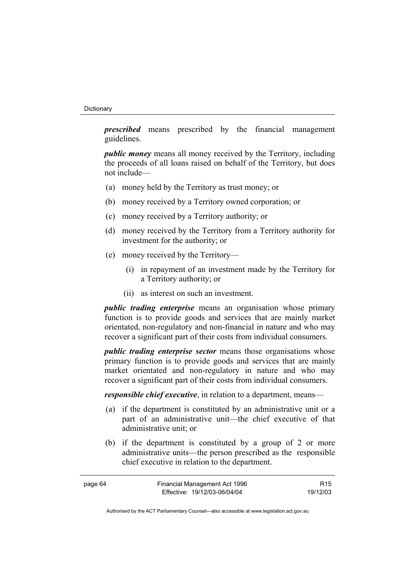#### **Dictionary**

*prescribed* means prescribed by the financial management guidelines.

*public money* means all money received by the Territory, including the proceeds of all loans raised on behalf of the Territory, but does not include—

- (a) money held by the Territory as trust money; or
- (b) money received by a Territory owned corporation; or
- (c) money received by a Territory authority; or
- (d) money received by the Territory from a Territory authority for investment for the authority; or
- (e) money received by the Territory—
	- (i) in repayment of an investment made by the Territory for a Territory authority; or
	- (ii) as interest on such an investment.

*public trading enterprise* means an organisation whose primary function is to provide goods and services that are mainly market orientated, non-regulatory and non-financial in nature and who may recover a significant part of their costs from individual consumers.

*public trading enterprise sector* means those organisations whose primary function is to provide goods and services that are mainly market orientated and non-regulatory in nature and who may recover a significant part of their costs from individual consumers.

*responsible chief executive*, in relation to a department, means—

- (a) if the department is constituted by an administrative unit or a part of an administrative unit—the chief executive of that administrative unit; or
- (b) if the department is constituted by a group of 2 or more administrative units—the person prescribed as the responsible chief executive in relation to the department.

| page 64 | Financial Management Act 1996 | R <sub>15</sub> |
|---------|-------------------------------|-----------------|
|         | Effective: 19/12/03-06/04/04  | 19/12/03        |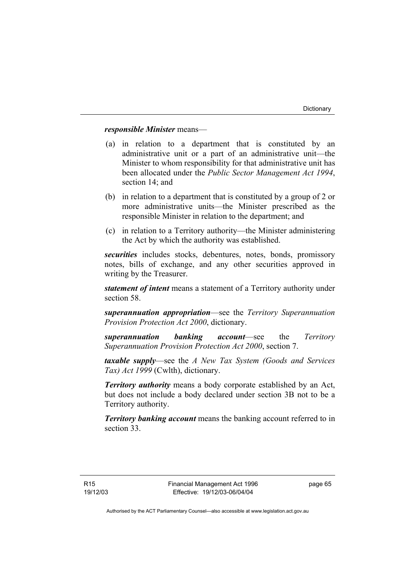# *responsible Minister* means—

- (a) in relation to a department that is constituted by an administrative unit or a part of an administrative unit—the Minister to whom responsibility for that administrative unit has been allocated under the *Public Sector Management Act 1994*, section 14; and
- (b) in relation to a department that is constituted by a group of 2 or more administrative units—the Minister prescribed as the responsible Minister in relation to the department; and
- (c) in relation to a Territory authority—the Minister administering the Act by which the authority was established.

*securities* includes stocks, debentures, notes, bonds, promissory notes, bills of exchange, and any other securities approved in writing by the Treasurer.

*statement of intent* means a statement of a Territory authority under section 58.

*superannuation appropriation*—see the *Territory Superannuation Provision Protection Act 2000*, dictionary.

*superannuation banking account*—see the *Territory Superannuation Provision Protection Act 2000*, section 7.

*taxable supply*—see the *A New Tax System (Goods and Services Tax) Act 1999* (Cwlth), dictionary.

*Territory authority* means a body corporate established by an Act, but does not include a body declared under section 3B not to be a Territory authority.

*Territory banking account* means the banking account referred to in section 33.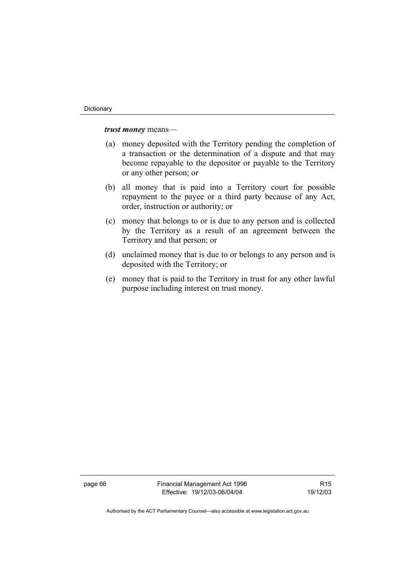## *trust money* means—

- (a) money deposited with the Territory pending the completion of a transaction or the determination of a dispute and that may become repayable to the depositor or payable to the Territory or any other person; or
- (b) all money that is paid into a Territory court for possible repayment to the payee or a third party because of any Act, order, instruction or authority; or
- (c) money that belongs to or is due to any person and is collected by the Territory as a result of an agreement between the Territory and that person; or
- (d) unclaimed money that is due to or belongs to any person and is deposited with the Territory; or
- (e) money that is paid to the Territory in trust for any other lawful purpose including interest on trust money.

page 66 Financial Management Act 1996 Effective: 19/12/03-06/04/04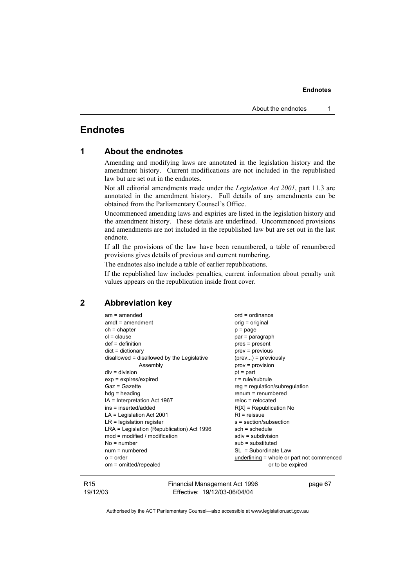# **Endnotes**

| 1 |  |  | <b>About the endnotes</b> |
|---|--|--|---------------------------|
|---|--|--|---------------------------|

Amending and modifying laws are annotated in the legislation history and the amendment history. Current modifications are not included in the republished law but are set out in the endnotes.

Not all editorial amendments made under the *Legislation Act 2001*, part 11.3 are annotated in the amendment history. Full details of any amendments can be obtained from the Parliamentary Counsel's Office.

Uncommenced amending laws and expiries are listed in the legislation history and the amendment history. These details are underlined. Uncommenced provisions and amendments are not included in the republished law but are set out in the last endnote.

If all the provisions of the law have been renumbered, a table of renumbered provisions gives details of previous and current numbering.

The endnotes also include a table of earlier republications.

If the republished law includes penalties, current information about penalty unit values appears on the republication inside front cover.

# **2 Abbreviation key**

| $am = amended$                             | $ord = ordinance$                           |
|--------------------------------------------|---------------------------------------------|
| $amdt = amendment$                         | orig = original                             |
| $ch = chapter$                             | $p = page$                                  |
| $cl = clause$                              | par = paragraph                             |
| $def = definition$                         | pres = present                              |
| $dict = dictionary$                        | prev = previous                             |
| disallowed = disallowed by the Legislative | $(\text{prev})$ = previously                |
| Assembly                                   | $prov = provision$                          |
| $div = division$                           | $pt = part$                                 |
| $exp = expires/expired$                    | $r = rule/subrule$                          |
| Gaz = Gazette                              | $reg = regulation/subregulation$            |
| $hda =$ heading                            | $renum = renumbered$                        |
| IA = Interpretation Act 1967               | $reloc = relocated$                         |
| ins = inserted/added                       | $R[X]$ = Republication No                   |
| $LA =$ Legislation Act 2001                | $RI =$ reissue                              |
| $LR =$ legislation register                | s = section/subsection                      |
| LRA = Legislation (Republication) Act 1996 | $sch = schedule$                            |
| $mod = modified / modified$                | $sdiv = subdivision$                        |
| $No = number$                              | $sub =$ substituted                         |
| $num = numbered$                           | $SL = Subordinate Law$                      |
| $o = order$                                | $underlining = whole or part not commenced$ |
| om = omitted/repealed                      | or to be expired                            |
|                                            |                                             |

#### R15 19/12/03

Financial Management Act 1996 Effective: 19/12/03-06/04/04

page 67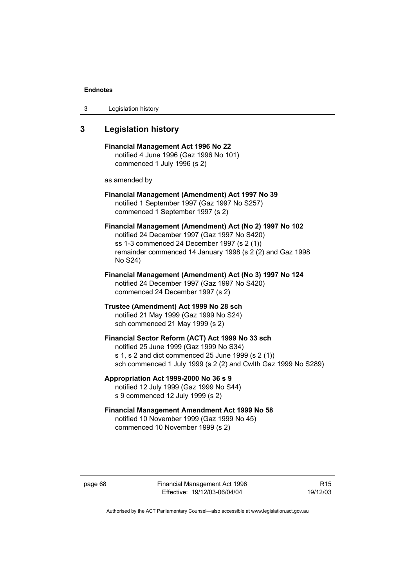3 Legislation history

# **3 Legislation history**

**Financial Management Act 1996 No 22**  notified 4 June 1996 (Gaz 1996 No 101) commenced 1 July 1996 (s 2)

as amended by

**Financial Management (Amendment) Act 1997 No 39**  notified 1 September 1997 (Gaz 1997 No S257) commenced 1 September 1997 (s 2)

**Financial Management (Amendment) Act (No 2) 1997 No 102**  notified 24 December 1997 (Gaz 1997 No S420) ss 1-3 commenced 24 December 1997 (s 2 (1)) remainder commenced 14 January 1998 (s 2 (2) and Gaz 1998 No S24)

- **Financial Management (Amendment) Act (No 3) 1997 No 124**  notified 24 December 1997 (Gaz 1997 No S420) commenced 24 December 1997 (s 2)
- **Trustee (Amendment) Act 1999 No 28 sch**  notified 21 May 1999 (Gaz 1999 No S24) sch commenced 21 May 1999 (s 2)

**Financial Sector Reform (ACT) Act 1999 No 33 sch**  notified 25 June 1999 (Gaz 1999 No S34) s 1, s 2 and dict commenced 25 June 1999 (s 2 (1)) sch commenced 1 July 1999 (s 2 (2) and Cwlth Gaz 1999 No S289)

- **Appropriation Act 1999-2000 No 36 s 9**  notified 12 July 1999 (Gaz 1999 No S44) s 9 commenced 12 July 1999 (s 2)
- **Financial Management Amendment Act 1999 No 58**  notified 10 November 1999 (Gaz 1999 No 45) commenced 10 November 1999 (s 2)

page 68 Financial Management Act 1996 Effective: 19/12/03-06/04/04

R15 19/12/03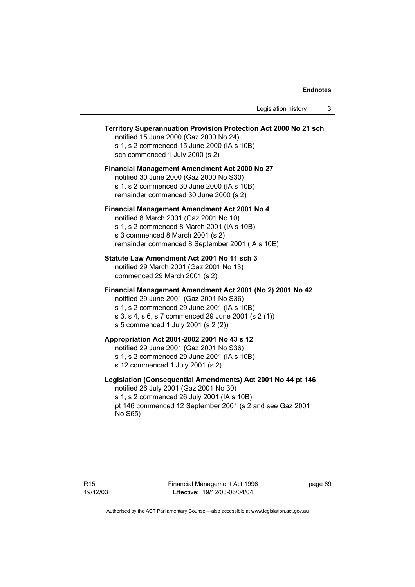Legislation history 3

# **Territory Superannuation Provision Protection Act 2000 No 21 sch**  notified 15 June 2000 (Gaz 2000 No 24) s 1, s 2 commenced 15 June 2000 (IA s 10B) sch commenced 1 July 2000 (s 2) **Financial Management Amendment Act 2000 No 27**  notified 30 June 2000 (Gaz 2000 No S30) s 1, s 2 commenced 30 June 2000 (IA s 10B) remainder commenced 30 June 2000 (s 2) **Financial Management Amendment Act 2001 No 4**  notified 8 March 2001 (Gaz 2001 No 10) s 1, s 2 commenced 8 March 2001 (IA s 10B) s 3 commenced 8 March 2001 (s 2) remainder commenced 8 September 2001 (IA s 10E) **Statute Law Amendment Act 2001 No 11 sch 3**  notified 29 March 2001 (Gaz 2001 No 13) commenced 29 March 2001 (s 2) **Financial Management Amendment Act 2001 (No 2) 2001 No 42**  notified 29 June 2001 (Gaz 2001 No S36) s 1, s 2 commenced 29 June 2001 (IA s 10B) s 3, s 4, s 6, s 7 commenced 29 June 2001 (s 2 (1)) s 5 commenced 1 July 2001 (s 2 (2)) **Appropriation Act 2001-2002 2001 No 43 s 12**  notified 29 June 2001 (Gaz 2001 No S36) s 1, s 2 commenced 29 June 2001 (IA s 10B) s 12 commenced 1 July 2001 (s 2) **Legislation (Consequential Amendments) Act 2001 No 44 pt 146**  notified 26 July 2001 (Gaz 2001 No 30) s 1, s 2 commenced 26 July 2001 (IA s 10B) pt 146 commenced 12 September 2001 (s 2 and see Gaz 2001 No S65)

page 69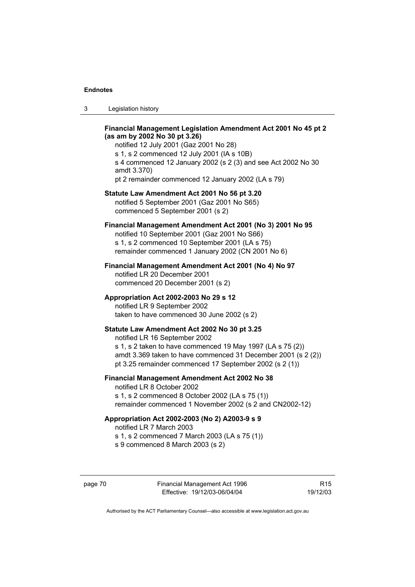| -3 | Legislation history |
|----|---------------------|
|----|---------------------|

## **Financial Management Legislation Amendment Act 2001 No 45 pt 2 (as am by 2002 No 30 pt 3.26)**

notified 12 July 2001 (Gaz 2001 No 28) s 1, s 2 commenced 12 July 2001 (IA s 10B) s 4 commenced 12 January 2002 (s 2 (3) and see Act 2002 No 30 amdt 3.370)

pt 2 remainder commenced 12 January 2002 (LA s 79)

# **Statute Law Amendment Act 2001 No 56 pt 3.20**

notified 5 September 2001 (Gaz 2001 No S65) commenced 5 September 2001 (s 2)

## **Financial Management Amendment Act 2001 (No 3) 2001 No 95**

notified 10 September 2001 (Gaz 2001 No S66) s 1, s 2 commenced 10 September 2001 (LA s 75) remainder commenced 1 January 2002 (CN 2001 No 6)

### **Financial Management Amendment Act 2001 (No 4) No 97**

notified LR 20 December 2001 commenced 20 December 2001 (s 2)

## **Appropriation Act 2002-2003 No 29 s 12**

notified LR 9 September 2002 taken to have commenced 30 June 2002 (s 2)

## **Statute Law Amendment Act 2002 No 30 pt 3.25**

notified LR 16 September 2002 s 1, s 2 taken to have commenced 19 May 1997 (LA s 75 (2)) amdt 3.369 taken to have commenced 31 December 2001 (s 2 (2))

pt 3.25 remainder commenced 17 September 2002 (s 2 (1))

**Financial Management Amendment Act 2002 No 38**  notified LR 8 October 2002 s 1, s 2 commenced 8 October 2002 (LA s 75 (1))

remainder commenced 1 November 2002 (s 2 and CN2002-12)

## **Appropriation Act 2002-2003 (No 2) A2003-9 s 9**

notified LR 7 March 2003

s 1, s 2 commenced 7 March 2003 (LA s 75 (1)) s 9 commenced 8 March 2003 (s 2)

page 70 Financial Management Act 1996 Effective: 19/12/03-06/04/04

R15 19/12/03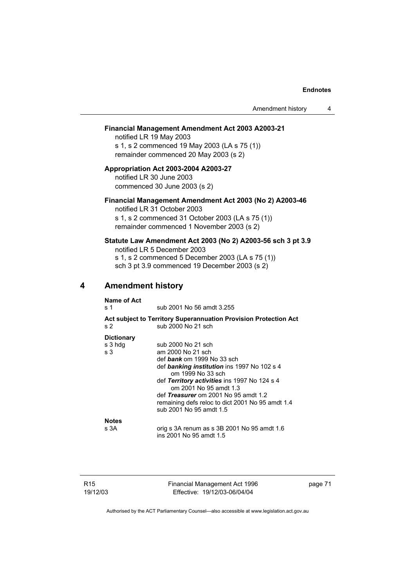## **Financial Management Amendment Act 2003 A2003-21**

notified LR 19 May 2003 s 1, s 2 commenced 19 May 2003 (LA s 75 (1)) remainder commenced 20 May 2003 (s 2)

**Appropriation Act 2003-2004 A2003-27**  notified LR 30 June 2003 commenced 30 June 2003 (s 2)

## **Financial Management Amendment Act 2003 (No 2) A2003-46**  notified LR 31 October 2003

s 1, s 2 commenced 31 October 2003 (LA s 75 (1)) remainder commenced 1 November 2003 (s 2)

# **Statute Law Amendment Act 2003 (No 2) A2003-56 sch 3 pt 3.9**

notified LR 5 December 2003 s 1, s 2 commenced 5 December 2003 (LA s 75 (1)) sch 3 pt 3.9 commenced 19 December 2003 (s 2)

# **4 Amendment history**

| Name of Act       |                                                                                        |
|-------------------|----------------------------------------------------------------------------------------|
| s 1               | sub 2001 No 56 amdt 3.255                                                              |
| s 2               | Act subject to Territory Superannuation Provision Protection Act<br>sub 2000 No 21 sch |
| <b>Dictionary</b> |                                                                                        |
| s 3 hdg           | sub 2000 No 21 sch                                                                     |
| s 3               | am 2000 No 21 sch                                                                      |
|                   | def bank om 1999 No 33 sch                                                             |
|                   | def banking institution ins 1997 No 102 s 4                                            |
|                   | om 1999 No 33 sch                                                                      |
|                   | def Territory activities ins 1997 No 124 s 4<br>om 2001 No 95 amdt 1.3                 |
|                   | def Treasurer om 2001 No 95 amdt 1.2                                                   |
|                   | remaining defs reloc to dict 2001 No 95 amdt 1.4                                       |
|                   | sub 2001 No 95 amdt 1.5                                                                |
| <b>Notes</b>      |                                                                                        |
| s 3A              | orig s 3A renum as s 3B 2001 No 95 amdt 1.6                                            |
|                   | ins 2001 No 95 amdt 1.5                                                                |
|                   |                                                                                        |

R15 19/12/03 Financial Management Act 1996 Effective: 19/12/03-06/04/04

page 71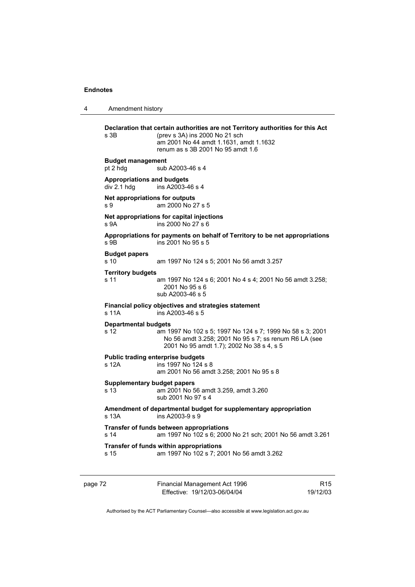| 4       | Amendment history                                                                                                                                                                                               |                                                                                                                                                                                                  |                 |
|---------|-----------------------------------------------------------------------------------------------------------------------------------------------------------------------------------------------------------------|--------------------------------------------------------------------------------------------------------------------------------------------------------------------------------------------------|-----------------|
|         | s 3B                                                                                                                                                                                                            | Declaration that certain authorities are not Territory authorities for this Act<br>(prev s 3A) ins 2000 No 21 sch<br>am 2001 No 44 amdt 1.1631, amdt 1.1632<br>renum as s 3B 2001 No 95 amdt 1.6 |                 |
|         | <b>Budget management</b><br>pt 2 hdg                                                                                                                                                                            | sub A2003-46 s 4                                                                                                                                                                                 |                 |
|         | <b>Appropriations and budgets</b><br>div 2.1 hdg                                                                                                                                                                | ins A2003-46 s 4                                                                                                                                                                                 |                 |
|         | Net appropriations for outputs<br>am 2000 No 27 s 5<br>s 9                                                                                                                                                      |                                                                                                                                                                                                  |                 |
|         | Net appropriations for capital injections<br>s 9A<br>ins 2000 No 27 s 6                                                                                                                                         |                                                                                                                                                                                                  |                 |
|         | s 9B                                                                                                                                                                                                            | Appropriations for payments on behalf of Territory to be net appropriations<br>ins 2001 No 95 s 5                                                                                                |                 |
|         | <b>Budget papers</b><br>s 10                                                                                                                                                                                    | am 1997 No 124 s 5; 2001 No 56 amdt 3.257                                                                                                                                                        |                 |
|         | <b>Territory budgets</b><br>s 11                                                                                                                                                                                | am 1997 No 124 s 6; 2001 No 4 s 4; 2001 No 56 amdt 3.258;<br>2001 No 95 s 6<br>sub A2003-46 s 5                                                                                                  |                 |
|         | s 11A                                                                                                                                                                                                           | Financial policy objectives and strategies statement<br>ins A2003-46 s 5                                                                                                                         |                 |
|         | <b>Departmental budgets</b><br>s 12                                                                                                                                                                             | am 1997 No 102 s 5; 1997 No 124 s 7; 1999 No 58 s 3; 2001<br>No 56 amdt 3.258; 2001 No 95 s 7; ss renum R6 LA (see<br>2001 No 95 amdt 1.7); 2002 No 38 s 4, s 5                                  |                 |
|         | s 12A                                                                                                                                                                                                           | <b>Public trading enterprise budgets</b><br>ins 1997 No 124 s 8<br>am 2001 No 56 amdt 3.258; 2001 No 95 s 8                                                                                      |                 |
|         | <b>Supplementary budget papers</b><br>s 13                                                                                                                                                                      | am 2001 No 56 amdt 3.259, amdt 3.260<br>sub 2001 No 97 s 4                                                                                                                                       |                 |
|         | Amendment of departmental budget for supplementary appropriation<br>$s$ 13A<br>ins A2003-9 s 9<br>Transfer of funds between appropriations<br>am 1997 No 102 s 6; 2000 No 21 sch; 2001 No 56 amdt 3.261<br>s 14 |                                                                                                                                                                                                  |                 |
|         |                                                                                                                                                                                                                 |                                                                                                                                                                                                  |                 |
|         | s 15                                                                                                                                                                                                            | Transfer of funds within appropriations<br>am 1997 No 102 s 7; 2001 No 56 amdt 3.262                                                                                                             |                 |
| page 72 |                                                                                                                                                                                                                 | Financial Management Act 1996                                                                                                                                                                    | R <sub>15</sub> |

Authorised by the ACT Parliamentary Counsel—also accessible at www.legislation.act.gov.au

19/12/03

Effective: 19/12/03-06/04/04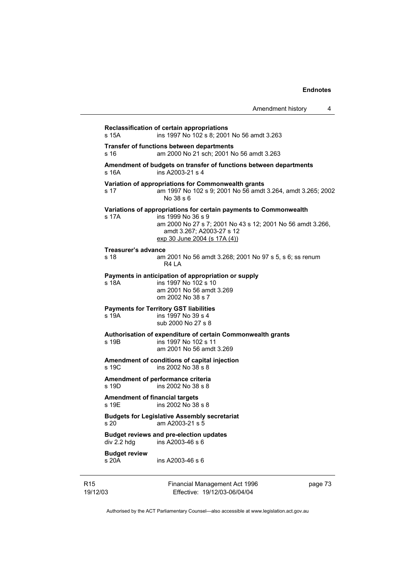|                                                | Amendment history                                                                                                                                                                                                  | 4 |
|------------------------------------------------|--------------------------------------------------------------------------------------------------------------------------------------------------------------------------------------------------------------------|---|
| s 15A                                          | Reclassification of certain appropriations<br>ins 1997 No 102 s 8; 2001 No 56 amdt 3.263                                                                                                                           |   |
| s 16                                           | <b>Transfer of functions between departments</b><br>am 2000 No 21 sch: 2001 No 56 amdt 3.263                                                                                                                       |   |
| s 16A                                          | Amendment of budgets on transfer of functions between departments<br>ins A2003-21 s 4                                                                                                                              |   |
| s 17                                           | Variation of appropriations for Commonwealth grants<br>am 1997 No 102 s 9; 2001 No 56 amdt 3.264, amdt 3.265; 2002<br>No 38 s 6                                                                                    |   |
| s 17A                                          | Variations of appropriations for certain payments to Commonwealth<br>ins 1999 No 36 s 9<br>am 2000 No 27 s 7; 2001 No 43 s 12; 2001 No 56 amdt 3.266,<br>amdt 3.267; A2003-27 s 12<br>exp 30 June 2004 (s 17A (4)) |   |
| Treasurer's advance<br>s 18                    | am 2001 No 56 amdt 3.268; 2001 No 97 s 5, s 6; ss renum<br>R4 LA                                                                                                                                                   |   |
| s 18A                                          | Payments in anticipation of appropriation or supply<br>ins 1997 No 102 s 10<br>am 2001 No 56 amdt 3.269<br>om 2002 No 38 s 7                                                                                       |   |
| s 19A                                          | <b>Payments for Territory GST liabilities</b><br>ins 1997 No 39 s 4<br>sub 2000 No 27 s 8                                                                                                                          |   |
| s 19B                                          | Authorisation of expenditure of certain Commonwealth grants<br>ins 1997 No 102 s 11<br>am 2001 No 56 amdt 3.269                                                                                                    |   |
| s 19C                                          | Amendment of conditions of capital injection<br>ins 2002 No 38 s 8                                                                                                                                                 |   |
| s 19D                                          | Amendment of performance criteria<br>ins 2002 No 38 s 8                                                                                                                                                            |   |
| <b>Amendment of financial targets</b><br>s 19E | ins 2002 No 38 s 8                                                                                                                                                                                                 |   |
| s 20                                           | <b>Budgets for Legislative Assembly secretariat</b><br>am A2003-21 s 5                                                                                                                                             |   |
| div 2.2 hdg                                    | <b>Budget reviews and pre-election updates</b><br>ins A2003-46 s 6                                                                                                                                                 |   |
| <b>Budget review</b><br>s 20A                  | ins A2003-46 s 6                                                                                                                                                                                                   |   |

R15 19/12/03 Financial Management Act 1996 Effective: 19/12/03-06/04/04 page 73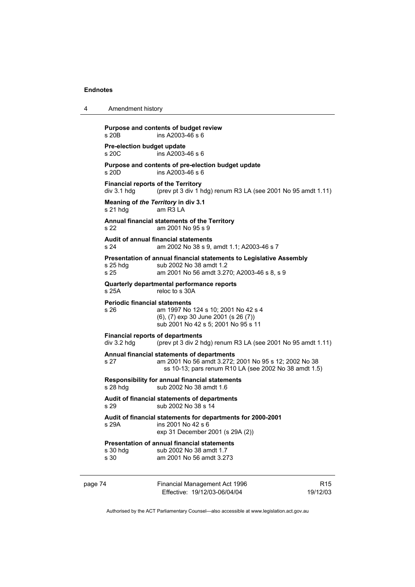| 4                                                                           | Amendment history                                                                                                                                                             |                                                                                                                                                              |                             |
|-----------------------------------------------------------------------------|-------------------------------------------------------------------------------------------------------------------------------------------------------------------------------|--------------------------------------------------------------------------------------------------------------------------------------------------------------|-----------------------------|
|                                                                             | Purpose and contents of budget review<br>ins A2003-46 s 6<br>s 20B                                                                                                            |                                                                                                                                                              |                             |
|                                                                             | Pre-election budget update<br>s, 20C<br>ins A2003-46 s 6                                                                                                                      |                                                                                                                                                              |                             |
|                                                                             | Purpose and contents of pre-election budget update<br>s 20D<br>ins A2003-46 s 6                                                                                               |                                                                                                                                                              |                             |
|                                                                             | <b>Financial reports of the Territory</b><br>div 3.1 hdg                                                                                                                      | (prev pt 3 div 1 hdg) renum R3 LA (see 2001 No 95 amdt 1.11)                                                                                                 |                             |
|                                                                             | Meaning of the Territory in div 3.1<br>s 21 hdg                                                                                                                               | am R3 LA                                                                                                                                                     |                             |
|                                                                             | Annual financial statements of the Territory<br>am 2001 No 95 s 9<br>s 22<br><b>Audit of annual financial statements</b><br>s 24<br>am 2002 No 38 s 9, amdt 1.1; A2003-46 s 7 |                                                                                                                                                              |                             |
|                                                                             |                                                                                                                                                                               |                                                                                                                                                              |                             |
|                                                                             | $s$ 25 hdg<br>s 25                                                                                                                                                            | Presentation of annual financial statements to Legislative Assembly<br>sub 2002 No 38 amdt 1.2<br>am 2001 No 56 amdt 3.270; A2003-46 s 8, s 9                |                             |
|                                                                             | Quarterly departmental performance reports<br>s <sub>25A</sub><br>reloc to s 30A                                                                                              |                                                                                                                                                              |                             |
|                                                                             | <b>Periodic financial statements</b><br>s 26                                                                                                                                  | am 1997 No 124 s 10; 2001 No 42 s 4<br>(6), (7) exp 30 June 2001 (s 26 (7))<br>sub 2001 No 42 s 5; 2001 No 95 s 11                                           |                             |
|                                                                             | <b>Financial reports of departments</b><br>div 3.2 hdg                                                                                                                        | (prev pt 3 div 2 hdg) renum R3 LA (see 2001 No 95 amdt 1.11)                                                                                                 |                             |
|                                                                             | s 27                                                                                                                                                                          | Annual financial statements of departments<br>am 2001 No 56 amdt 3.272; 2001 No 95 s 12; 2002 No 38<br>ss 10-13; pars renum R10 LA (see 2002 No 38 amdt 1.5) |                             |
|                                                                             | <b>Responsibility for annual financial statements</b><br>sub 2002 No 38 amdt 1.6<br>s 28 hdg                                                                                  |                                                                                                                                                              |                             |
| Audit of financial statements of departments<br>sub 2002 No 38 s 14<br>s 29 |                                                                                                                                                                               |                                                                                                                                                              |                             |
|                                                                             | s 29A                                                                                                                                                                         | Audit of financial statements for departments for 2000-2001<br>ins 2001 No 42 s 6<br>exp 31 December 2001 (s 29A (2))                                        |                             |
|                                                                             | s 30 hdg<br>s 30                                                                                                                                                              | <b>Presentation of annual financial statements</b><br>sub 2002 No 38 amdt 1.7<br>am 2001 No 56 amdt 3.273                                                    |                             |
| page 74                                                                     |                                                                                                                                                                               | Financial Management Act 1996<br>Effective: 19/12/03-06/04/04                                                                                                | R <sub>15</sub><br>19/12/03 |

Authorised by the ACT Parliamentary Counsel—also accessible at www.legislation.act.gov.au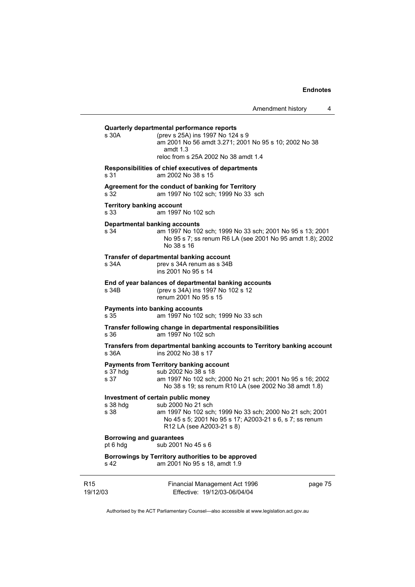Amendment history 4

R15 19/12/03 Financial Management Act 1996 Effective: 19/12/03-06/04/04 page 75 **Quarterly departmental performance reports**  s 30A (prev s 25A) ins 1997 No 124 s 9 am 2001 No 56 amdt 3.271; 2001 No 95 s 10; 2002 No 38 amdt 1.3 reloc from s 25A 2002 No 38 amdt 1.4 **Responsibilities of chief executives of departments**  s 31 am 2002 No 38 s 15 **Agreement for the conduct of banking for Territory** s 32 am 1997 No 102 sch; 1999 No 33 sch **Territory banking account** s 33 am 1997 No 102 sch **Departmental banking accounts**  s 34 am 1997 No 102 sch; 1999 No 33 sch; 2001 No 95 s 13; 2001 No 95 s 7; ss renum R6 LA (see 2001 No 95 amdt 1.8); 2002 No 38 s 16 **Transfer of departmental banking account**  s 34A **prev s** 34A renum as s 34B ins 2001 No 95 s 14 **End of year balances of departmental banking accounts** s 34B (prev s 34A) ins 1997 No 102 s 12 renum 2001 No 95 s 15 **Payments into banking accounts** s 35 am 1997 No 102 sch; 1999 No 33 sch **Transfer following change in departmental responsibilities** s 36 am 1997 No 102 sch **Transfers from departmental banking accounts to Territory banking account**  s 36A ins 2002 No 38 s 17 **Payments from Territory banking account**  s 37 hdg sub 2002 No 38 s 18<br>s 37 am 1997 No 102 sch am 1997 No 102 sch; 2000 No 21 sch; 2001 No 95 s 16; 2002 No 38 s 19; ss renum R10 LA (see 2002 No 38 amdt 1.8) **Investment of certain public money**  s 38 hdg sub 2000 No 21 sch<br>s 38 separate sub 2000 No 102 sch am 1997 No 102 sch; 1999 No 33 sch; 2000 No 21 sch; 2001 No 45 s 5; 2001 No 95 s 17; A2003-21 s 6, s 7; ss renum R12 LA (see A2003-21 s 8) **Borrowing and guarantees**  pt 6 hdg sub 2001 No 45 s 6 **Borrowings by Territory authorities to be approved**  s 42 am 2001 No 95 s 18, amdt 1.9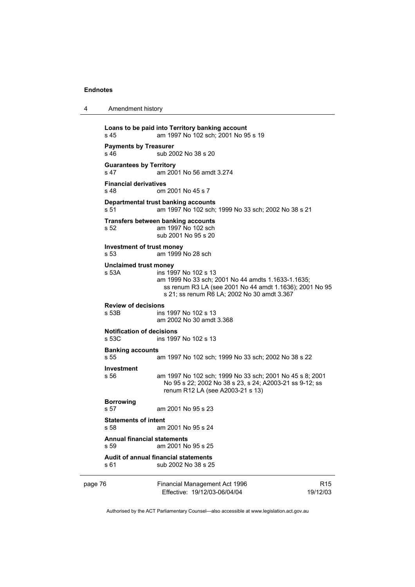4 Amendment history

```
page 76 Financial Management Act 1996
                 Effective: 19/12/03-06/04/04 
                                                               R15 
                                                            19/12/03 
Loans to be paid into Territory banking account
s 45 am 1997 No 102 sch; 2001 No 95 s 19 
Payments by Treasurer 
s 46 sub 2002 No 38 s 20
Guarantees by Territory 
s 47 am 2001 No 56 amdt 3.274 
Financial derivatives 
s 48 om 2001 No 45 s 7 
Departmental trust banking accounts
s 51 am 1997 No 102 sch; 1999 No 33 sch; 2002 No 38 s 21 
Transfers between banking accounts
s 52 am 1997 No 102 sch 
                sub 2001 No 95 s 20 
Investment of trust money 
s 53 am 1999 No 28 sch 
Unclaimed trust money 
s 53A ins 1997 No 102 s 13 
                am 1999 No 33 sch; 2001 No 44 amdts 1.1633-1.1635; 
                 ss renum R3 LA (see 2001 No 44 amdt 1.1636); 2001 No 95 
                 s 21; ss renum R6 LA; 2002 No 30 amdt 3.367 
Review of decisions 
s 53B ins 1997 No 102 s 13 
                am 2002 No 30 amdt 3.368 
Notification of decisions 
               ins 1997 No 102 s 13
Banking accounts 
s 55 am 1997 No 102 sch; 1999 No 33 sch; 2002 No 38 s 22 
Investment 
s 56 am 1997 No 102 sch; 1999 No 33 sch; 2001 No 45 s 8; 2001 
                 No 95 s 22; 2002 No 38 s 23, s 24; A2003-21 ss 9-12; ss 
                 renum R12 LA (see A2003-21 s 13) 
Borrowing 
               am 2001 No 95 s 23
Statements of intent 
s 58 am 2001 No 95 s 24 
Annual financial statements 
s 59 am 2001 No 95 s 25 
Audit of annual financial statements 
s 61 sub 2002 No 38 s 25
```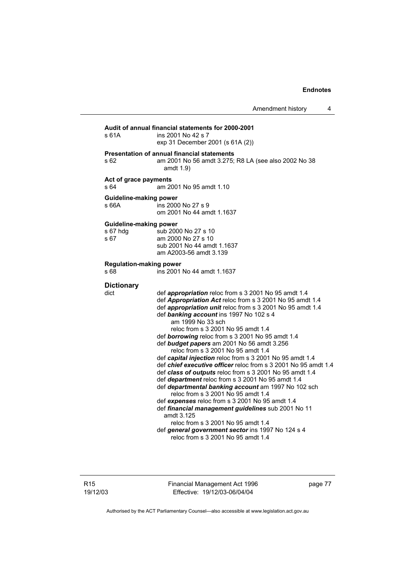| Audit of annual financial statements for 2000-2001<br>ins 2001 No 42 s 7<br>exp 31 December 2001 (s 61A (2))                                                                                                                                                                                                                                                                                                                                                                                                                                                                                                                                                                                                                                                                                                                                                                                                                                                                                                                   |
|--------------------------------------------------------------------------------------------------------------------------------------------------------------------------------------------------------------------------------------------------------------------------------------------------------------------------------------------------------------------------------------------------------------------------------------------------------------------------------------------------------------------------------------------------------------------------------------------------------------------------------------------------------------------------------------------------------------------------------------------------------------------------------------------------------------------------------------------------------------------------------------------------------------------------------------------------------------------------------------------------------------------------------|
| <b>Presentation of annual financial statements</b><br>am 2001 No 56 amdt 3.275; R8 LA (see also 2002 No 38<br>amdt $1.9$                                                                                                                                                                                                                                                                                                                                                                                                                                                                                                                                                                                                                                                                                                                                                                                                                                                                                                       |
| Act of grace payments<br>am 2001 No 95 amdt 1.10                                                                                                                                                                                                                                                                                                                                                                                                                                                                                                                                                                                                                                                                                                                                                                                                                                                                                                                                                                               |
| Guideline-making power<br>ins 2000 No 27 s 9<br>om 2001 No 44 amdt 1.1637                                                                                                                                                                                                                                                                                                                                                                                                                                                                                                                                                                                                                                                                                                                                                                                                                                                                                                                                                      |
| <b>Guideline-making power</b><br>sub 2000 No 27 s 10<br>am 2000 No 27 s 10<br>sub 2001 No 44 amdt 1.1637<br>am A2003-56 amdt 3.139                                                                                                                                                                                                                                                                                                                                                                                                                                                                                                                                                                                                                                                                                                                                                                                                                                                                                             |
| <b>Regulation-making power</b><br>ins 2001 No 44 amdt 1.1637                                                                                                                                                                                                                                                                                                                                                                                                                                                                                                                                                                                                                                                                                                                                                                                                                                                                                                                                                                   |
| def appropriation reloc from s 3 2001 No 95 amdt 1.4<br>def Appropriation Act reloc from s 3 2001 No 95 amdt 1.4<br>def appropriation unit reloc from s 3 2001 No 95 amdt 1.4<br>def banking account ins 1997 No 102 s 4<br>am 1999 No 33 sch<br>reloc from s 3 2001 No 95 amdt 1.4<br>def borrowing reloc from s 3 2001 No 95 amdt 1.4<br>def budget papers am 2001 No 56 amdt 3.256<br>reloc from s 3 2001 No 95 amdt 1.4<br>def capital injection reloc from s 3 2001 No 95 amdt 1.4<br>def chief executive officer reloc from s 3 2001 No 95 amdt 1.4<br>def class of outputs reloc from s 3 2001 No 95 amdt 1.4<br>def department reloc from s 3 2001 No 95 amdt 1.4<br>def departmental banking account am 1997 No 102 sch<br>reloc from s 3 2001 No 95 amdt 1.4<br>def expenses reloc from s 3 2001 No 95 amdt 1.4<br>def financial management guidelines sub 2001 No 11<br>amdt 3.125<br>reloc from s 3 2001 No 95 amdt 1.4<br>def general government sector ins 1997 No 124 s 4<br>reloc from s 3 2001 No 95 amdt 1.4 |
|                                                                                                                                                                                                                                                                                                                                                                                                                                                                                                                                                                                                                                                                                                                                                                                                                                                                                                                                                                                                                                |

R15 19/12/03 Financial Management Act 1996 Effective: 19/12/03-06/04/04

page 77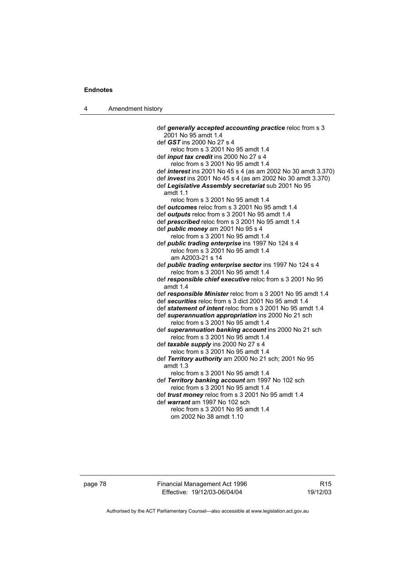4 Amendment history

 def *generally accepted accounting practice* reloc from s 3 2001 No 95 amdt 1.4 def *GST* ins 2000 No 27 s 4 reloc from s 3 2001 No 95 amdt 1.4 def *input tax credit* ins 2000 No 27 s 4 reloc from s 3 2001 No 95 amdt 1.4 def *interest* ins 2001 No 45 s 4 (as am 2002 No 30 amdt 3.370) def *invest* ins 2001 No 45 s 4 (as am 2002 No 30 amdt 3.370) def *Legislative Assembly secretariat* sub 2001 No 95 amdt 1.1 reloc from s 3 2001 No 95 amdt 1.4 def *outcomes* reloc from s 3 2001 No 95 amdt 1.4 def *outputs* reloc from s 3 2001 No 95 amdt 1.4 def *prescribed* reloc from s 3 2001 No 95 amdt 1.4 def *public money* am 2001 No 95 s 4 reloc from s 3 2001 No 95 amdt 1.4 def *public trading enterprise* ins 1997 No 124 s 4 reloc from s 3 2001 No 95 amdt 1.4 am A2003-21 s 14 def *public trading enterprise sector* ins 1997 No 124 s 4 reloc from s 3 2001 No 95 amdt 1.4 def *responsible chief executive* reloc from s 3 2001 No 95 amdt 1.4 def *responsible Minister* reloc from s 3 2001 No 95 amdt 1.4 def *securities* reloc from s 3 dict 2001 No 95 amdt 1.4 def *statement of intent* reloc from s 3 2001 No 95 amdt 1.4 def *superannuation appropriation* ins 2000 No 21 sch reloc from s 3 2001 No 95 amdt 1.4 def *superannuation banking account* ins 2000 No 21 sch reloc from s 3 2001 No 95 amdt 1.4 def *taxable supply* ins 2000 No 27 s 4 reloc from s 3 2001 No 95 amdt 1.4 def *Territory authority* am 2000 No 21 sch; 2001 No 95 amdt 1.3 reloc from s 3 2001 No 95 amdt 1.4 def *Territory banking account* am 1997 No 102 sch reloc from s 3 2001 No 95 amdt 1.4 def *trust money* reloc from s 3 2001 No 95 amdt 1.4 def *warrant* am 1997 No 102 sch reloc from s 3 2001 No 95 amdt 1.4 om 2002 No 38 amdt 1.10

page 78 Financial Management Act 1996 Effective: 19/12/03-06/04/04

R15 19/12/03